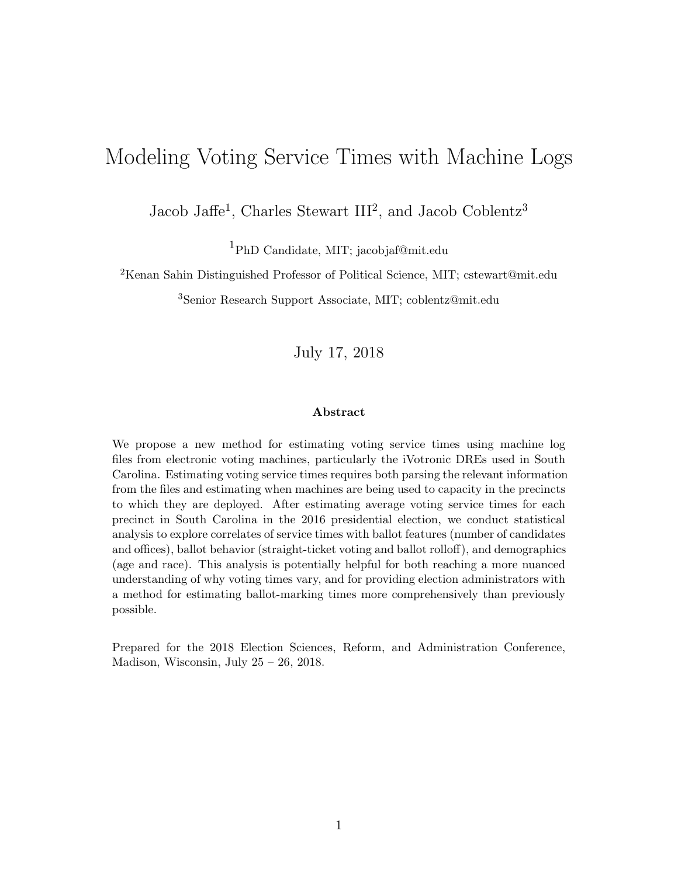# Modeling Voting Service Times with Machine Logs

Jacob Jaffe<sup>1</sup>, Charles Stewart III<sup>2</sup>, and Jacob Coblentz<sup>3</sup>

<sup>1</sup>PhD Candidate, MIT; jacobjaf@mit.edu

<sup>2</sup>Kenan Sahin Distinguished Professor of Political Science, MIT; cstewart@mit.edu

<sup>3</sup>Senior Research Support Associate, MIT; coblentz@mit.edu

#### July 17, 2018

#### Abstract

We propose a new method for estimating voting service times using machine log files from electronic voting machines, particularly the iVotronic DREs used in South Carolina. Estimating voting service times requires both parsing the relevant information from the files and estimating when machines are being used to capacity in the precincts to which they are deployed. After estimating average voting service times for each precinct in South Carolina in the 2016 presidential election, we conduct statistical analysis to explore correlates of service times with ballot features (number of candidates and offices), ballot behavior (straight-ticket voting and ballot rolloff), and demographics (age and race). This analysis is potentially helpful for both reaching a more nuanced understanding of why voting times vary, and for providing election administrators with a method for estimating ballot-marking times more comprehensively than previously possible.

Prepared for the 2018 Election Sciences, Reform, and Administration Conference, Madison, Wisconsin, July  $25 - 26$ , 2018.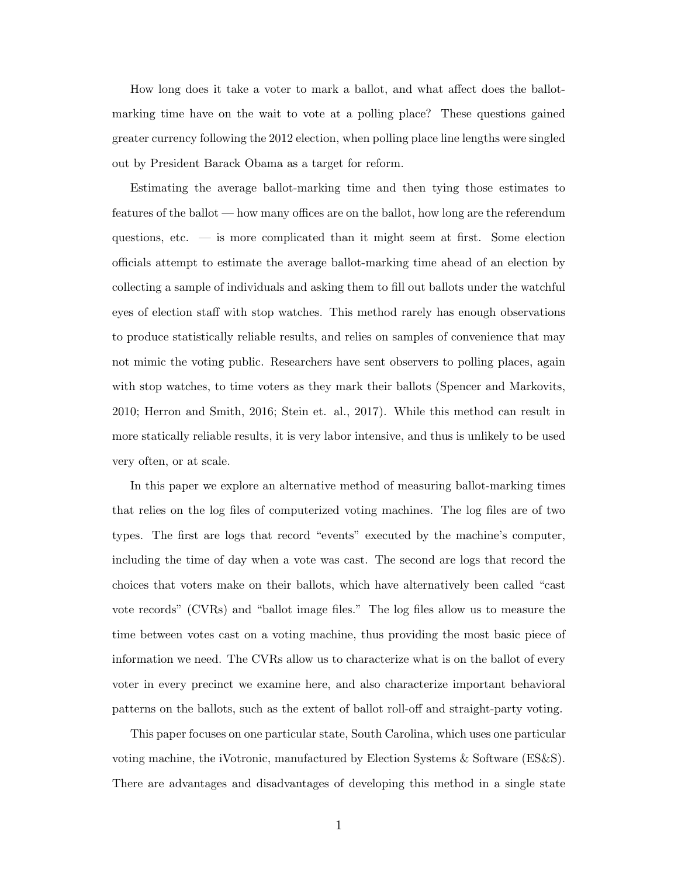How long does it take a voter to mark a ballot, and what affect does the ballotmarking time have on the wait to vote at a polling place? These questions gained greater currency following the 2012 election, when polling place line lengths were singled out by President Barack Obama as a target for reform.

Estimating the average ballot-marking time and then tying those estimates to features of the ballot — how many offices are on the ballot, how long are the referendum questions, etc.  $\overline{\phantom{a}}$  is more complicated than it might seem at first. Some election officials attempt to estimate the average ballot-marking time ahead of an election by collecting a sample of individuals and asking them to fill out ballots under the watchful eyes of election staff with stop watches. This method rarely has enough observations to produce statistically reliable results, and relies on samples of convenience that may not mimic the voting public. Researchers have sent observers to polling places, again with stop watches, to time voters as they mark their ballots (Spencer and Markovits, 2010; Herron and Smith, 2016; Stein et. al., 2017). While this method can result in more statically reliable results, it is very labor intensive, and thus is unlikely to be used very often, or at scale.

In this paper we explore an alternative method of measuring ballot-marking times that relies on the log files of computerized voting machines. The log files are of two types. The first are logs that record "events" executed by the machine's computer, including the time of day when a vote was cast. The second are logs that record the choices that voters make on their ballots, which have alternatively been called "cast vote records" (CVRs) and "ballot image files." The log files allow us to measure the time between votes cast on a voting machine, thus providing the most basic piece of information we need. The CVRs allow us to characterize what is on the ballot of every voter in every precinct we examine here, and also characterize important behavioral patterns on the ballots, such as the extent of ballot roll-off and straight-party voting.

This paper focuses on one particular state, South Carolina, which uses one particular voting machine, the iVotronic, manufactured by Election Systems & Software (ES&S). There are advantages and disadvantages of developing this method in a single state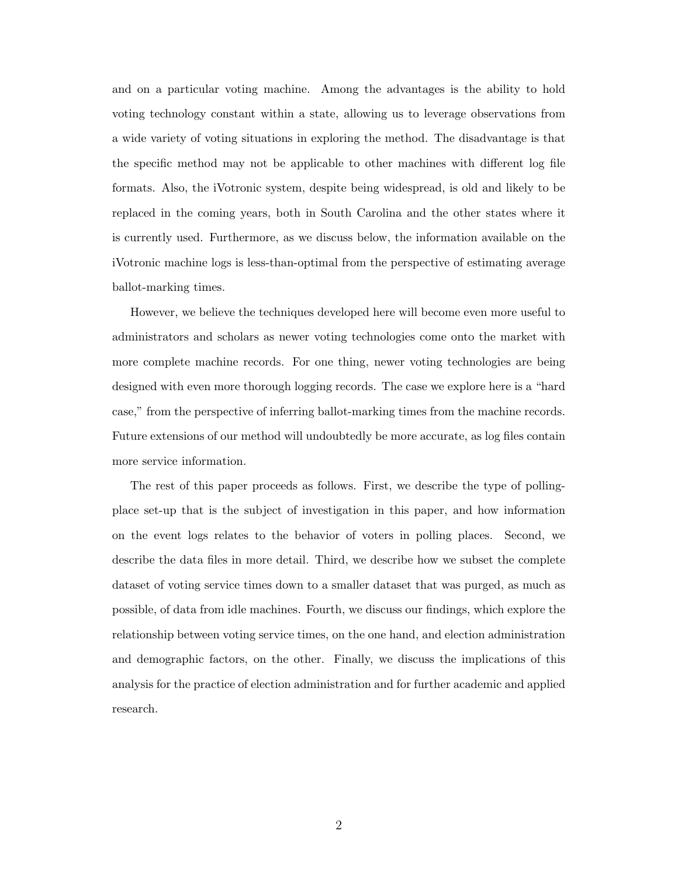and on a particular voting machine. Among the advantages is the ability to hold voting technology constant within a state, allowing us to leverage observations from a wide variety of voting situations in exploring the method. The disadvantage is that the specific method may not be applicable to other machines with different log file formats. Also, the iVotronic system, despite being widespread, is old and likely to be replaced in the coming years, both in South Carolina and the other states where it is currently used. Furthermore, as we discuss below, the information available on the iVotronic machine logs is less-than-optimal from the perspective of estimating average ballot-marking times.

However, we believe the techniques developed here will become even more useful to administrators and scholars as newer voting technologies come onto the market with more complete machine records. For one thing, newer voting technologies are being designed with even more thorough logging records. The case we explore here is a "hard case," from the perspective of inferring ballot-marking times from the machine records. Future extensions of our method will undoubtedly be more accurate, as log files contain more service information.

The rest of this paper proceeds as follows. First, we describe the type of pollingplace set-up that is the subject of investigation in this paper, and how information on the event logs relates to the behavior of voters in polling places. Second, we describe the data files in more detail. Third, we describe how we subset the complete dataset of voting service times down to a smaller dataset that was purged, as much as possible, of data from idle machines. Fourth, we discuss our findings, which explore the relationship between voting service times, on the one hand, and election administration and demographic factors, on the other. Finally, we discuss the implications of this analysis for the practice of election administration and for further academic and applied research.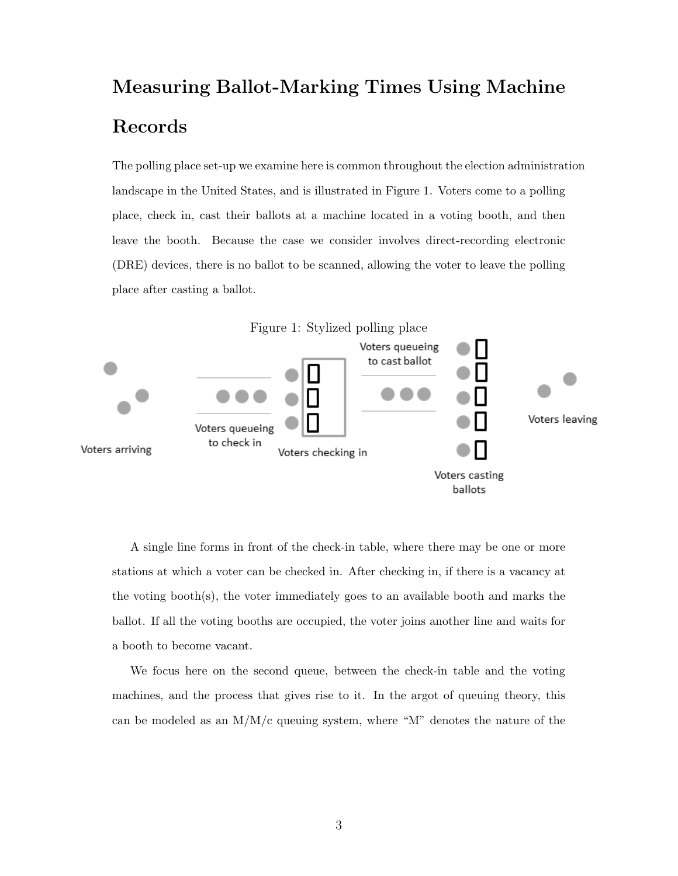# Measuring Ballot-Marking Times Using Machine Records

The polling place set-up we examine here is common throughout the election administration landscape in the United States, and is illustrated in Figure 1. Voters come to a polling place, check in, cast their ballots at a machine located in a voting booth, and then leave the booth. Because the case we consider involves direct-recording electronic (DRE) devices, there is no ballot to be scanned, allowing the voter to leave the polling place after casting a ballot.



A single line forms in front of the check-in table, where there may be one or more stations at which a voter can be checked in. After checking in, if there is a vacancy at the voting booth(s), the voter immediately goes to an available booth and marks the ballot. If all the voting booths are occupied, the voter joins another line and waits for a booth to become vacant.

We focus here on the second queue, between the check-in table and the voting machines, and the process that gives rise to it. In the argot of queuing theory, this can be modeled as an  $M/M/c$  queuing system, where "M" denotes the nature of the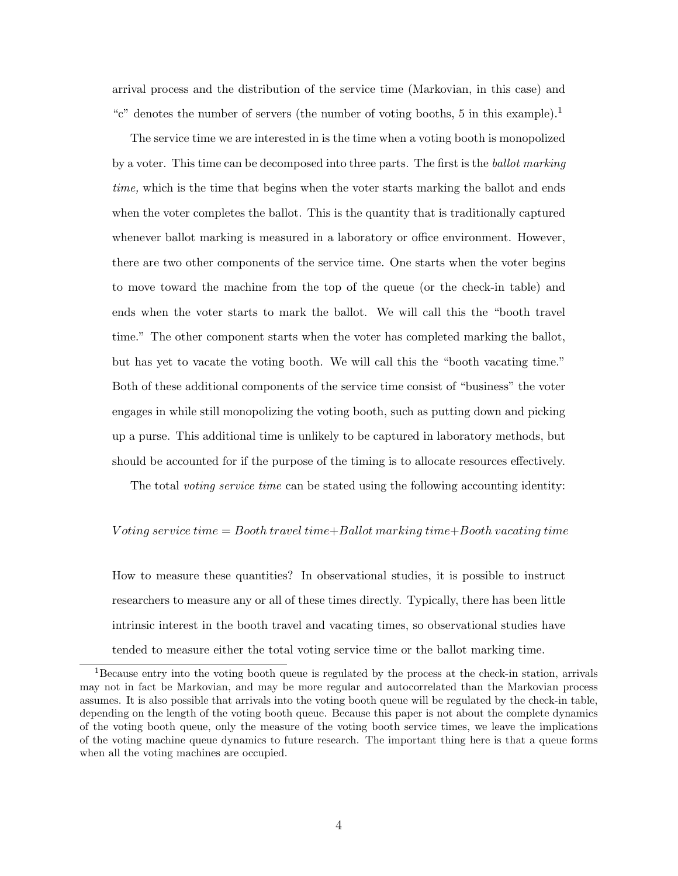arrival process and the distribution of the service time (Markovian, in this case) and "c" denotes the number of servers (the number of voting booths, 5 in this example).<sup>1</sup>

The service time we are interested in is the time when a voting booth is monopolized by a voter. This time can be decomposed into three parts. The first is the ballot marking time, which is the time that begins when the voter starts marking the ballot and ends when the voter completes the ballot. This is the quantity that is traditionally captured whenever ballot marking is measured in a laboratory or office environment. However, there are two other components of the service time. One starts when the voter begins to move toward the machine from the top of the queue (or the check-in table) and ends when the voter starts to mark the ballot. We will call this the "booth travel time." The other component starts when the voter has completed marking the ballot, but has yet to vacate the voting booth. We will call this the "booth vacating time." Both of these additional components of the service time consist of "business" the voter engages in while still monopolizing the voting booth, such as putting down and picking up a purse. This additional time is unlikely to be captured in laboratory methods, but should be accounted for if the purpose of the timing is to allocate resources effectively.

The total voting service time can be stated using the following accounting identity:

#### $V \text{oting service time} = \text{Book}h \text{ travel time} + \text{Ballot marking time} + \text{Book}h \text{ vacation}$

How to measure these quantities? In observational studies, it is possible to instruct researchers to measure any or all of these times directly. Typically, there has been little intrinsic interest in the booth travel and vacating times, so observational studies have tended to measure either the total voting service time or the ballot marking time.

<sup>&</sup>lt;sup>1</sup>Because entry into the voting booth queue is regulated by the process at the check-in station, arrivals may not in fact be Markovian, and may be more regular and autocorrelated than the Markovian process assumes. It is also possible that arrivals into the voting booth queue will be regulated by the check-in table, depending on the length of the voting booth queue. Because this paper is not about the complete dynamics of the voting booth queue, only the measure of the voting booth service times, we leave the implications of the voting machine queue dynamics to future research. The important thing here is that a queue forms when all the voting machines are occupied.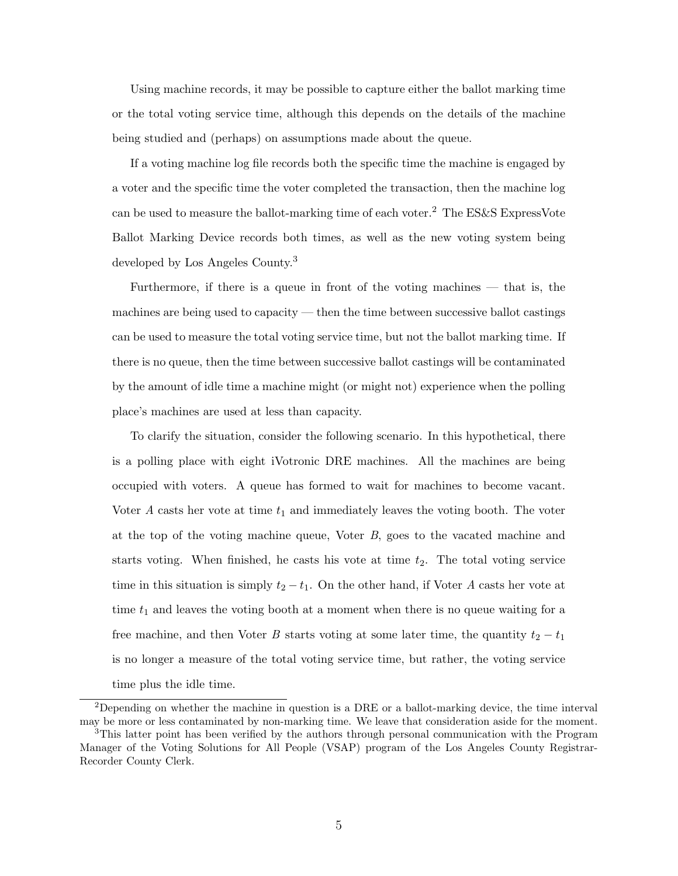Using machine records, it may be possible to capture either the ballot marking time or the total voting service time, although this depends on the details of the machine being studied and (perhaps) on assumptions made about the queue.

If a voting machine log file records both the specific time the machine is engaged by a voter and the specific time the voter completed the transaction, then the machine log can be used to measure the ballot-marking time of each voter.<sup>2</sup> The ES&S ExpressVote Ballot Marking Device records both times, as well as the new voting system being developed by Los Angeles County.<sup>3</sup>

Furthermore, if there is a queue in front of the voting machines — that is, the machines are being used to capacity — then the time between successive ballot castings can be used to measure the total voting service time, but not the ballot marking time. If there is no queue, then the time between successive ballot castings will be contaminated by the amount of idle time a machine might (or might not) experience when the polling place's machines are used at less than capacity.

To clarify the situation, consider the following scenario. In this hypothetical, there is a polling place with eight iVotronic DRE machines. All the machines are being occupied with voters. A queue has formed to wait for machines to become vacant. Voter  $A$  casts her vote at time  $t_1$  and immediately leaves the voting booth. The voter at the top of the voting machine queue, Voter B, goes to the vacated machine and starts voting. When finished, he casts his vote at time  $t_2$ . The total voting service time in this situation is simply  $t_2 - t_1$ . On the other hand, if Voter A casts her vote at time  $t_1$  and leaves the voting booth at a moment when there is no queue waiting for a free machine, and then Voter B starts voting at some later time, the quantity  $t_2 - t_1$ is no longer a measure of the total voting service time, but rather, the voting service time plus the idle time.

<sup>&</sup>lt;sup>2</sup>Depending on whether the machine in question is a DRE or a ballot-marking device, the time interval may be more or less contaminated by non-marking time. We leave that consideration aside for the moment. <sup>3</sup>This latter point has been verified by the authors through personal communication with the Program Manager of the Voting Solutions for All People (VSAP) program of the Los Angeles County Registrar-Recorder County Clerk.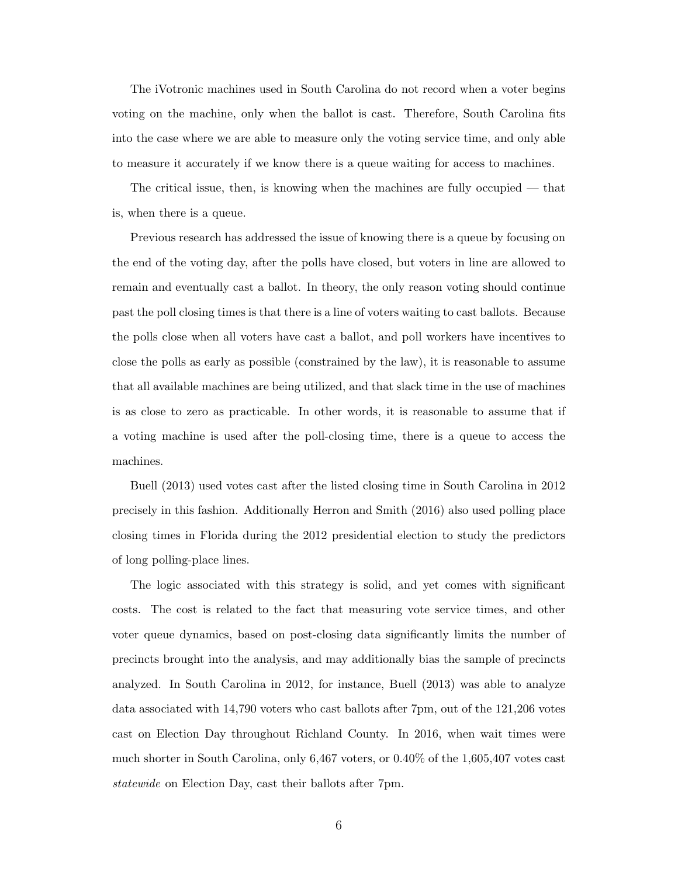The iVotronic machines used in South Carolina do not record when a voter begins voting on the machine, only when the ballot is cast. Therefore, South Carolina fits into the case where we are able to measure only the voting service time, and only able to measure it accurately if we know there is a queue waiting for access to machines.

The critical issue, then, is knowing when the machines are fully occupied — that is, when there is a queue.

Previous research has addressed the issue of knowing there is a queue by focusing on the end of the voting day, after the polls have closed, but voters in line are allowed to remain and eventually cast a ballot. In theory, the only reason voting should continue past the poll closing times is that there is a line of voters waiting to cast ballots. Because the polls close when all voters have cast a ballot, and poll workers have incentives to close the polls as early as possible (constrained by the law), it is reasonable to assume that all available machines are being utilized, and that slack time in the use of machines is as close to zero as practicable. In other words, it is reasonable to assume that if a voting machine is used after the poll-closing time, there is a queue to access the machines.

Buell (2013) used votes cast after the listed closing time in South Carolina in 2012 precisely in this fashion. Additionally Herron and Smith (2016) also used polling place closing times in Florida during the 2012 presidential election to study the predictors of long polling-place lines.

The logic associated with this strategy is solid, and yet comes with significant costs. The cost is related to the fact that measuring vote service times, and other voter queue dynamics, based on post-closing data significantly limits the number of precincts brought into the analysis, and may additionally bias the sample of precincts analyzed. In South Carolina in 2012, for instance, Buell (2013) was able to analyze data associated with 14,790 voters who cast ballots after 7pm, out of the 121,206 votes cast on Election Day throughout Richland County. In 2016, when wait times were much shorter in South Carolina, only 6,467 voters, or 0.40% of the 1,605,407 votes cast statewide on Election Day, cast their ballots after 7pm.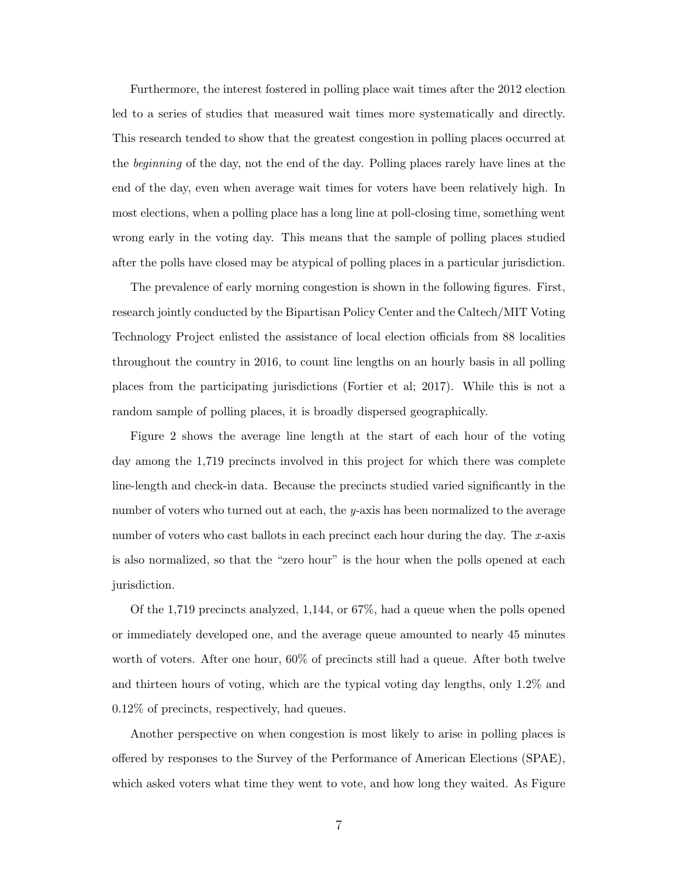Furthermore, the interest fostered in polling place wait times after the 2012 election led to a series of studies that measured wait times more systematically and directly. This research tended to show that the greatest congestion in polling places occurred at the beginning of the day, not the end of the day. Polling places rarely have lines at the end of the day, even when average wait times for voters have been relatively high. In most elections, when a polling place has a long line at poll-closing time, something went wrong early in the voting day. This means that the sample of polling places studied after the polls have closed may be atypical of polling places in a particular jurisdiction.

The prevalence of early morning congestion is shown in the following figures. First, research jointly conducted by the Bipartisan Policy Center and the Caltech/MIT Voting Technology Project enlisted the assistance of local election officials from 88 localities throughout the country in 2016, to count line lengths on an hourly basis in all polling places from the participating jurisdictions (Fortier et al; 2017). While this is not a random sample of polling places, it is broadly dispersed geographically.

Figure 2 shows the average line length at the start of each hour of the voting day among the 1,719 precincts involved in this project for which there was complete line-length and check-in data. Because the precincts studied varied significantly in the number of voters who turned out at each, the y-axis has been normalized to the average number of voters who cast ballots in each precinct each hour during the day. The  $x$ -axis is also normalized, so that the "zero hour" is the hour when the polls opened at each jurisdiction.

Of the 1,719 precincts analyzed, 1,144, or 67%, had a queue when the polls opened or immediately developed one, and the average queue amounted to nearly 45 minutes worth of voters. After one hour, 60% of precincts still had a queue. After both twelve and thirteen hours of voting, which are the typical voting day lengths, only 1.2% and 0.12% of precincts, respectively, had queues.

Another perspective on when congestion is most likely to arise in polling places is offered by responses to the Survey of the Performance of American Elections (SPAE), which asked voters what time they went to vote, and how long they waited. As Figure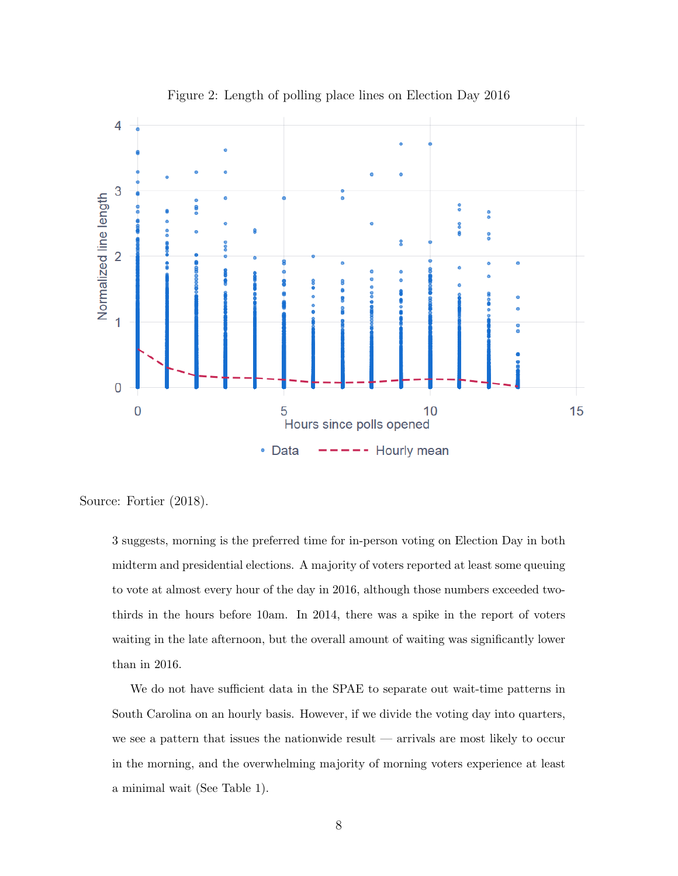

Figure 2: Length of polling place lines on Election Day 2016

Source: Fortier (2018).

3 suggests, morning is the preferred time for in-person voting on Election Day in both midterm and presidential elections. A majority of voters reported at least some queuing to vote at almost every hour of the day in 2016, although those numbers exceeded twothirds in the hours before 10am. In 2014, there was a spike in the report of voters waiting in the late afternoon, but the overall amount of waiting was significantly lower than in 2016.

We do not have sufficient data in the SPAE to separate out wait-time patterns in South Carolina on an hourly basis. However, if we divide the voting day into quarters, we see a pattern that issues the nationwide result — arrivals are most likely to occur in the morning, and the overwhelming majority of morning voters experience at least a minimal wait (See Table 1).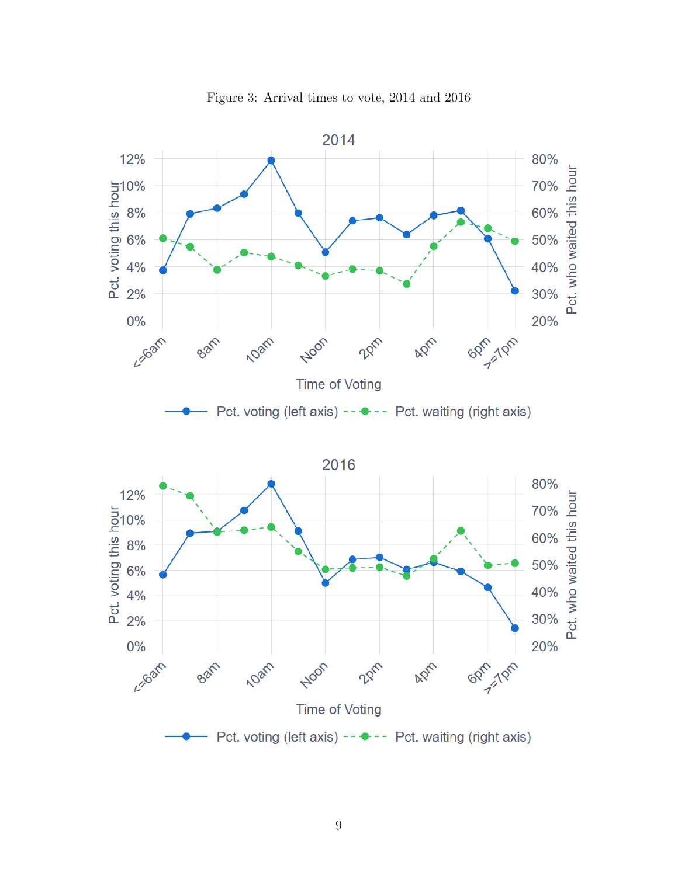

Figure 3: Arrival times to vote, 2014 and 2016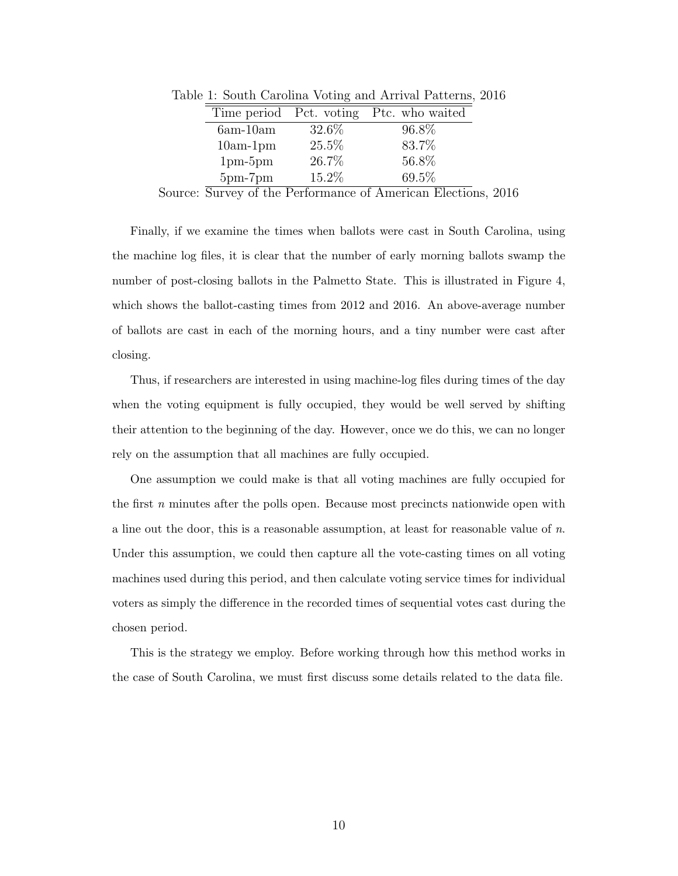| Time period Pct. voting |       | Ptc. who waited |
|-------------------------|-------|-----------------|
| $6am-10am$              | 32.6% | 96.8%           |
| $10am-1pm$              | 25.5% | 83.7%           |
| $1pm-5pm$               | 26.7% | 56.8%           |
| $5pm-7pm$               | 15.2% | 69.5%           |

Table 1: South Carolina Voting and Arrival Patterns, 2016

Source: Survey of the Performance of American Elections, 2016

Finally, if we examine the times when ballots were cast in South Carolina, using the machine log files, it is clear that the number of early morning ballots swamp the number of post-closing ballots in the Palmetto State. This is illustrated in Figure 4, which shows the ballot-casting times from 2012 and 2016. An above-average number of ballots are cast in each of the morning hours, and a tiny number were cast after closing.

Thus, if researchers are interested in using machine-log files during times of the day when the voting equipment is fully occupied, they would be well served by shifting their attention to the beginning of the day. However, once we do this, we can no longer rely on the assumption that all machines are fully occupied.

One assumption we could make is that all voting machines are fully occupied for the first  $n$  minutes after the polls open. Because most precincts nationwide open with a line out the door, this is a reasonable assumption, at least for reasonable value of  $n$ . Under this assumption, we could then capture all the vote-casting times on all voting machines used during this period, and then calculate voting service times for individual voters as simply the difference in the recorded times of sequential votes cast during the chosen period.

This is the strategy we employ. Before working through how this method works in the case of South Carolina, we must first discuss some details related to the data file.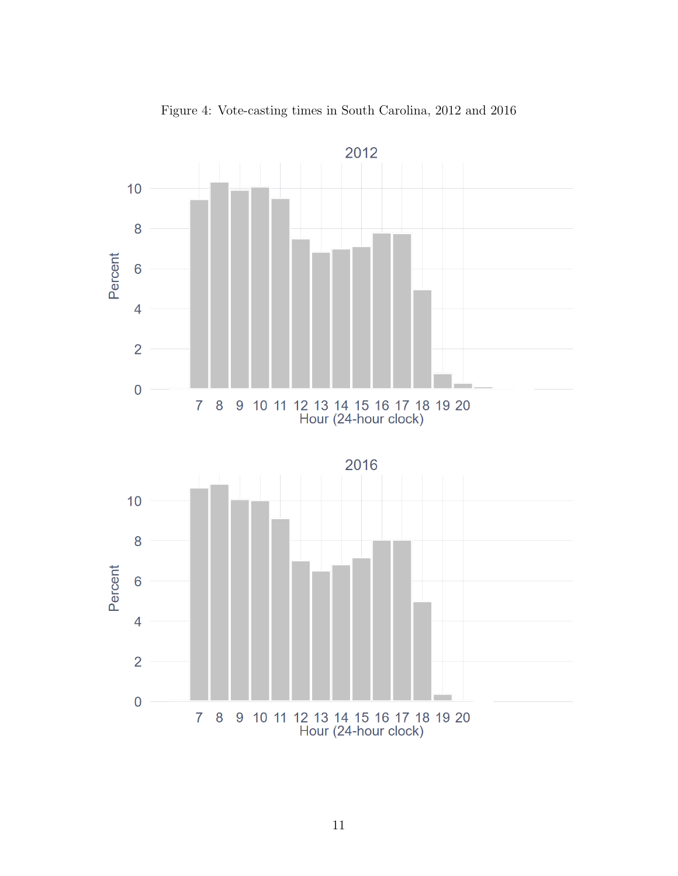

Figure 4: Vote-casting times in South Carolina, 2012 and 2016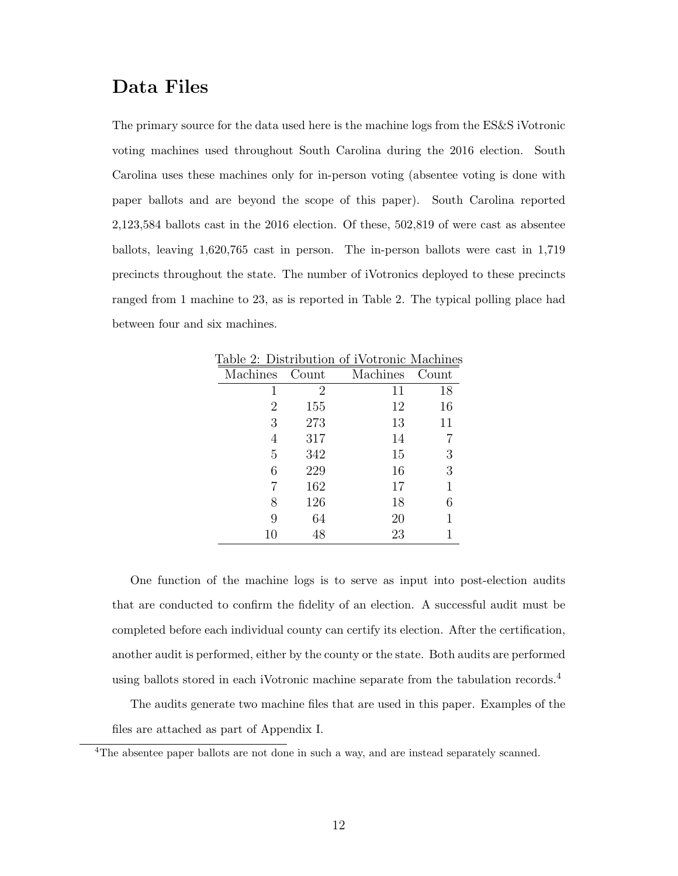# Data Files

The primary source for the data used here is the machine logs from the ES&S iVotronic voting machines used throughout South Carolina during the 2016 election. South Carolina uses these machines only for in-person voting (absentee voting is done with paper ballots and are beyond the scope of this paper). South Carolina reported 2,123,584 ballots cast in the 2016 election. Of these, 502,819 of were cast as absentee ballots, leaving 1,620,765 cast in person. The in-person ballots were cast in 1,719 precincts throughout the state. The number of iVotronics deployed to these precincts ranged from 1 machine to 23, as is reported in Table 2. The typical polling place had between four and six machines.

| $\mathrm{Count}$ |
|------------------|
|                  |
| 18               |
| 16               |
| 11               |
|                  |
| 3                |
| 3                |
|                  |
| 6                |
|                  |
|                  |
|                  |

Table 2: Distribution of iVotronic Machines

One function of the machine logs is to serve as input into post-election audits that are conducted to confirm the fidelity of an election. A successful audit must be completed before each individual county can certify its election. After the certification, another audit is performed, either by the county or the state. Both audits are performed using ballots stored in each iVotronic machine separate from the tabulation records.<sup>4</sup>

The audits generate two machine files that are used in this paper. Examples of the files are attached as part of Appendix I.

<sup>4</sup>The absentee paper ballots are not done in such a way, and are instead separately scanned.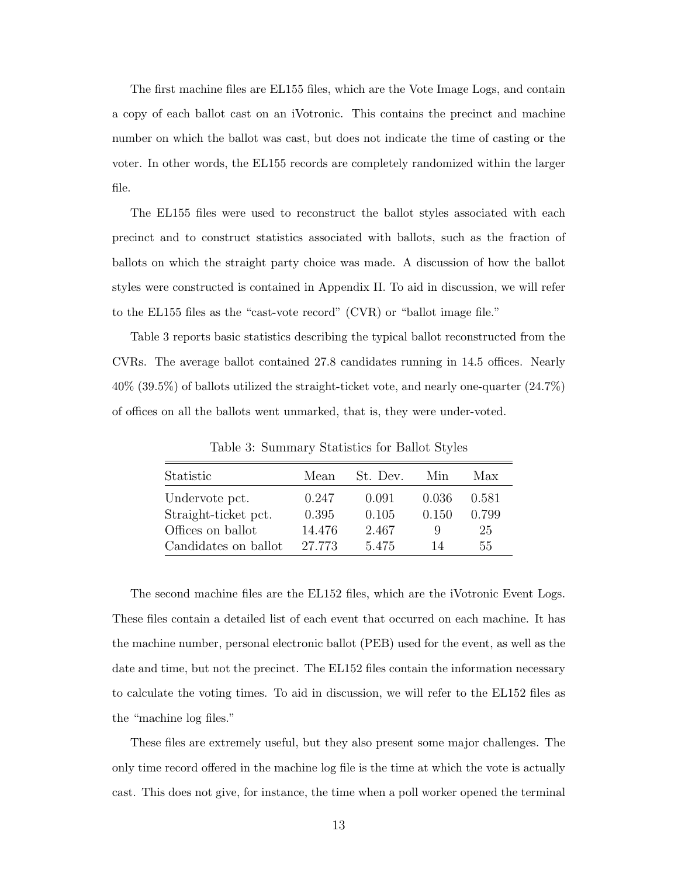The first machine files are EL155 files, which are the Vote Image Logs, and contain a copy of each ballot cast on an iVotronic. This contains the precinct and machine number on which the ballot was cast, but does not indicate the time of casting or the voter. In other words, the EL155 records are completely randomized within the larger file.

The EL155 files were used to reconstruct the ballot styles associated with each precinct and to construct statistics associated with ballots, such as the fraction of ballots on which the straight party choice was made. A discussion of how the ballot styles were constructed is contained in Appendix II. To aid in discussion, we will refer to the EL155 files as the "cast-vote record" (CVR) or "ballot image file."

Table 3 reports basic statistics describing the typical ballot reconstructed from the CVRs. The average ballot contained 27.8 candidates running in 14.5 offices. Nearly 40% (39.5%) of ballots utilized the straight-ticket vote, and nearly one-quarter (24.7%) of offices on all the ballots went unmarked, that is, they were under-voted.

| Statistic            | Mean   | St. Dev. | Min   | Max   |
|----------------------|--------|----------|-------|-------|
| Undervote pct.       | 0.247  | 0.091    | 0.036 | 0.581 |
| Straight-ticket pct. | 0.395  | 0.105    | 0.150 | 0.799 |
| Offices on ballot    | 14.476 | 2.467    | 9     | 25    |
| Candidates on ballot | 27 773 | 5.475    | 14    | 55    |

Table 3: Summary Statistics for Ballot Styles

The second machine files are the EL152 files, which are the iVotronic Event Logs. These files contain a detailed list of each event that occurred on each machine. It has the machine number, personal electronic ballot (PEB) used for the event, as well as the date and time, but not the precinct. The EL152 files contain the information necessary to calculate the voting times. To aid in discussion, we will refer to the EL152 files as the "machine log files."

These files are extremely useful, but they also present some major challenges. The only time record offered in the machine log file is the time at which the vote is actually cast. This does not give, for instance, the time when a poll worker opened the terminal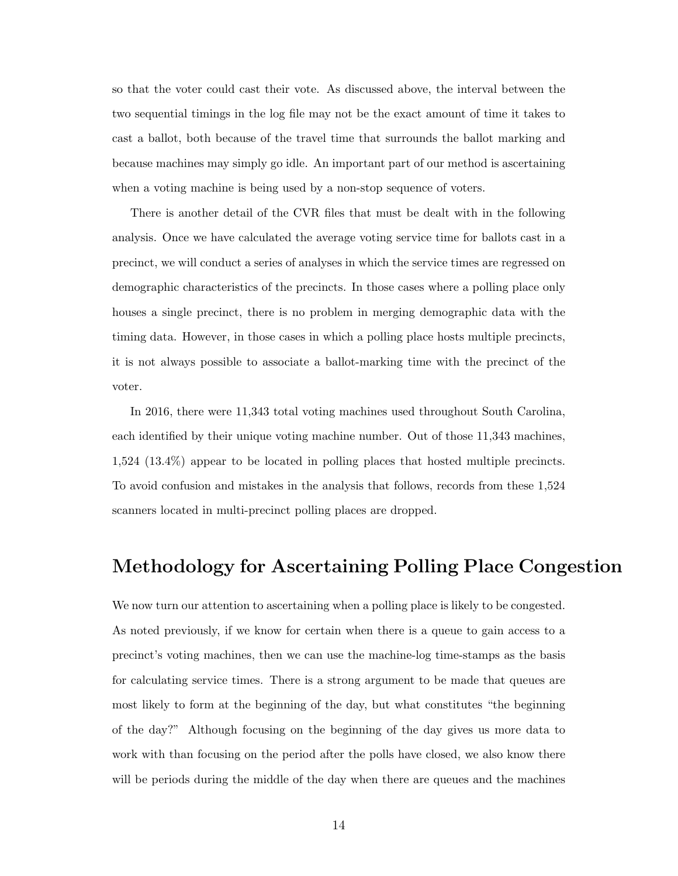so that the voter could cast their vote. As discussed above, the interval between the two sequential timings in the log file may not be the exact amount of time it takes to cast a ballot, both because of the travel time that surrounds the ballot marking and because machines may simply go idle. An important part of our method is ascertaining when a voting machine is being used by a non-stop sequence of voters.

There is another detail of the CVR files that must be dealt with in the following analysis. Once we have calculated the average voting service time for ballots cast in a precinct, we will conduct a series of analyses in which the service times are regressed on demographic characteristics of the precincts. In those cases where a polling place only houses a single precinct, there is no problem in merging demographic data with the timing data. However, in those cases in which a polling place hosts multiple precincts, it is not always possible to associate a ballot-marking time with the precinct of the voter.

In 2016, there were 11,343 total voting machines used throughout South Carolina, each identified by their unique voting machine number. Out of those 11,343 machines, 1,524 (13.4%) appear to be located in polling places that hosted multiple precincts. To avoid confusion and mistakes in the analysis that follows, records from these 1,524 scanners located in multi-precinct polling places are dropped.

# Methodology for Ascertaining Polling Place Congestion

We now turn our attention to ascertaining when a polling place is likely to be congested. As noted previously, if we know for certain when there is a queue to gain access to a precinct's voting machines, then we can use the machine-log time-stamps as the basis for calculating service times. There is a strong argument to be made that queues are most likely to form at the beginning of the day, but what constitutes "the beginning of the day?" Although focusing on the beginning of the day gives us more data to work with than focusing on the period after the polls have closed, we also know there will be periods during the middle of the day when there are queues and the machines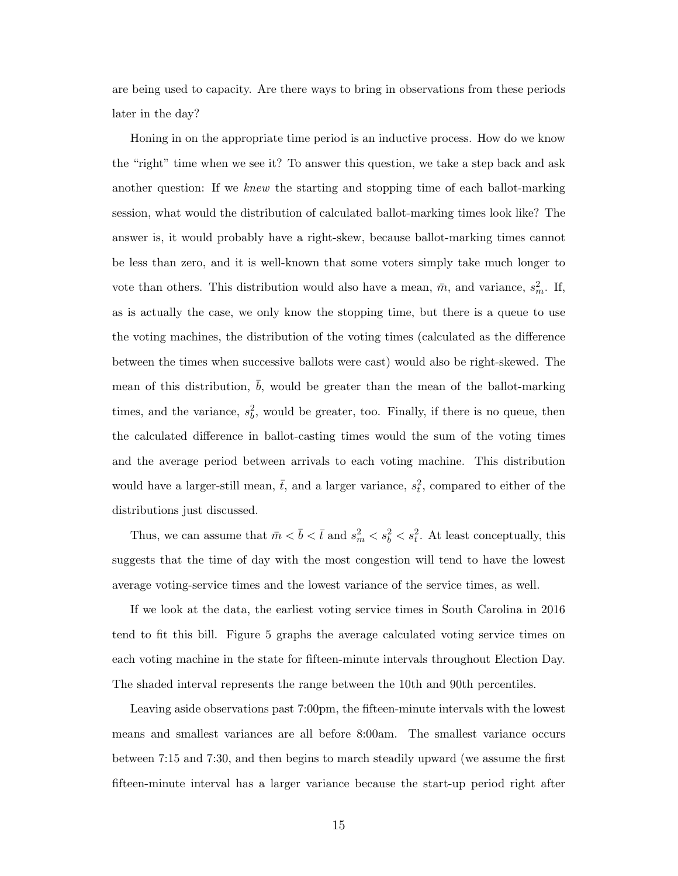are being used to capacity. Are there ways to bring in observations from these periods later in the day?

Honing in on the appropriate time period is an inductive process. How do we know the "right" time when we see it? To answer this question, we take a step back and ask another question: If we knew the starting and stopping time of each ballot-marking session, what would the distribution of calculated ballot-marking times look like? The answer is, it would probably have a right-skew, because ballot-marking times cannot be less than zero, and it is well-known that some voters simply take much longer to vote than others. This distribution would also have a mean,  $\bar{m}$ , and variance,  $s_m^2$ . If, as is actually the case, we only know the stopping time, but there is a queue to use the voting machines, the distribution of the voting times (calculated as the difference between the times when successive ballots were cast) would also be right-skewed. The mean of this distribution,  $b$ , would be greater than the mean of the ballot-marking times, and the variance,  $s_b^2$ , would be greater, too. Finally, if there is no queue, then the calculated difference in ballot-casting times would the sum of the voting times and the average period between arrivals to each voting machine. This distribution would have a larger-still mean,  $\bar{t}$ , and a larger variance,  $s_t^2$ , compared to either of the distributions just discussed.

Thus, we can assume that  $\bar{m} < \bar{b} < \bar{t}$  and  $s_m^2 < s_b^2 < s_t^2$ . At least conceptually, this suggests that the time of day with the most congestion will tend to have the lowest average voting-service times and the lowest variance of the service times, as well.

If we look at the data, the earliest voting service times in South Carolina in 2016 tend to fit this bill. Figure 5 graphs the average calculated voting service times on each voting machine in the state for fifteen-minute intervals throughout Election Day. The shaded interval represents the range between the 10th and 90th percentiles.

Leaving aside observations past 7:00pm, the fifteen-minute intervals with the lowest means and smallest variances are all before 8:00am. The smallest variance occurs between 7:15 and 7:30, and then begins to march steadily upward (we assume the first fifteen-minute interval has a larger variance because the start-up period right after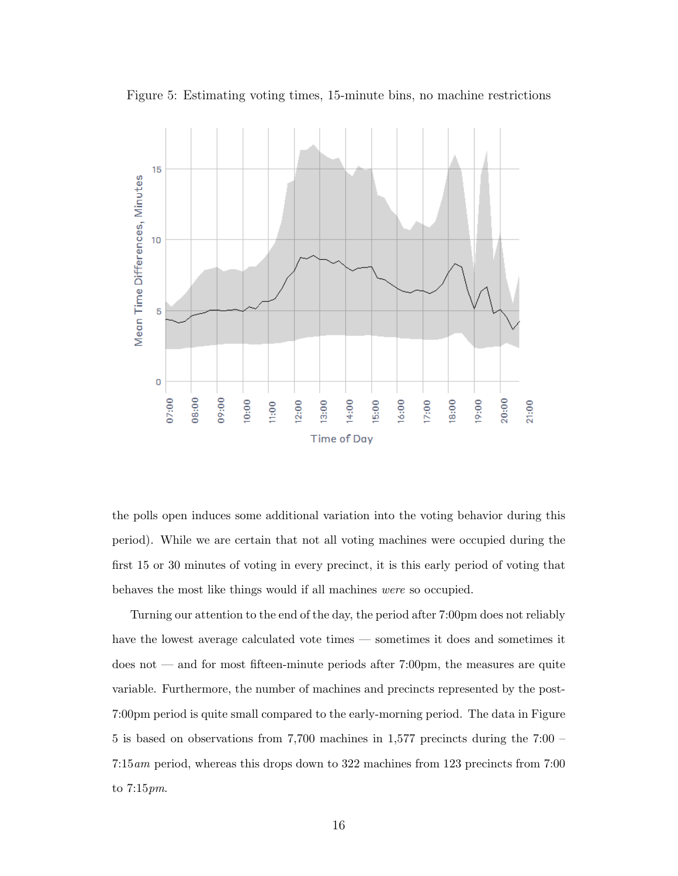

Figure 5: Estimating voting times, 15-minute bins, no machine restrictions

the polls open induces some additional variation into the voting behavior during this period). While we are certain that not all voting machines were occupied during the first 15 or 30 minutes of voting in every precinct, it is this early period of voting that behaves the most like things would if all machines were so occupied.

Turning our attention to the end of the day, the period after 7:00pm does not reliably have the lowest average calculated vote times — sometimes it does and sometimes it does not — and for most fifteen-minute periods after 7:00pm, the measures are quite variable. Furthermore, the number of machines and precincts represented by the post-7:00pm period is quite small compared to the early-morning period. The data in Figure 5 is based on observations from 7,700 machines in 1,577 precincts during the 7:00 – 7:15am period, whereas this drops down to 322 machines from 123 precincts from 7:00 to 7:15pm.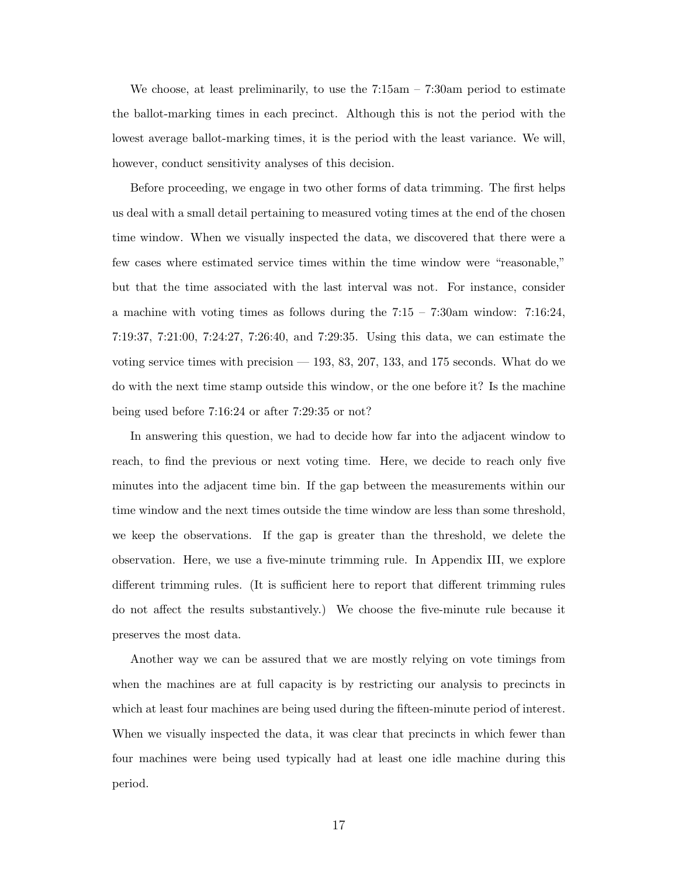We choose, at least preliminarily, to use the  $7:15$ am –  $7:30$ am period to estimate the ballot-marking times in each precinct. Although this is not the period with the lowest average ballot-marking times, it is the period with the least variance. We will, however, conduct sensitivity analyses of this decision.

Before proceeding, we engage in two other forms of data trimming. The first helps us deal with a small detail pertaining to measured voting times at the end of the chosen time window. When we visually inspected the data, we discovered that there were a few cases where estimated service times within the time window were "reasonable," but that the time associated with the last interval was not. For instance, consider a machine with voting times as follows during the  $7:15 - 7:30$ am window:  $7:16:24$ , 7:19:37, 7:21:00, 7:24:27, 7:26:40, and 7:29:35. Using this data, we can estimate the voting service times with precision  $-193, 83, 207, 133,$  and 175 seconds. What do we do with the next time stamp outside this window, or the one before it? Is the machine being used before 7:16:24 or after 7:29:35 or not?

In answering this question, we had to decide how far into the adjacent window to reach, to find the previous or next voting time. Here, we decide to reach only five minutes into the adjacent time bin. If the gap between the measurements within our time window and the next times outside the time window are less than some threshold, we keep the observations. If the gap is greater than the threshold, we delete the observation. Here, we use a five-minute trimming rule. In Appendix III, we explore different trimming rules. (It is sufficient here to report that different trimming rules do not affect the results substantively.) We choose the five-minute rule because it preserves the most data.

Another way we can be assured that we are mostly relying on vote timings from when the machines are at full capacity is by restricting our analysis to precincts in which at least four machines are being used during the fifteen-minute period of interest. When we visually inspected the data, it was clear that precincts in which fewer than four machines were being used typically had at least one idle machine during this period.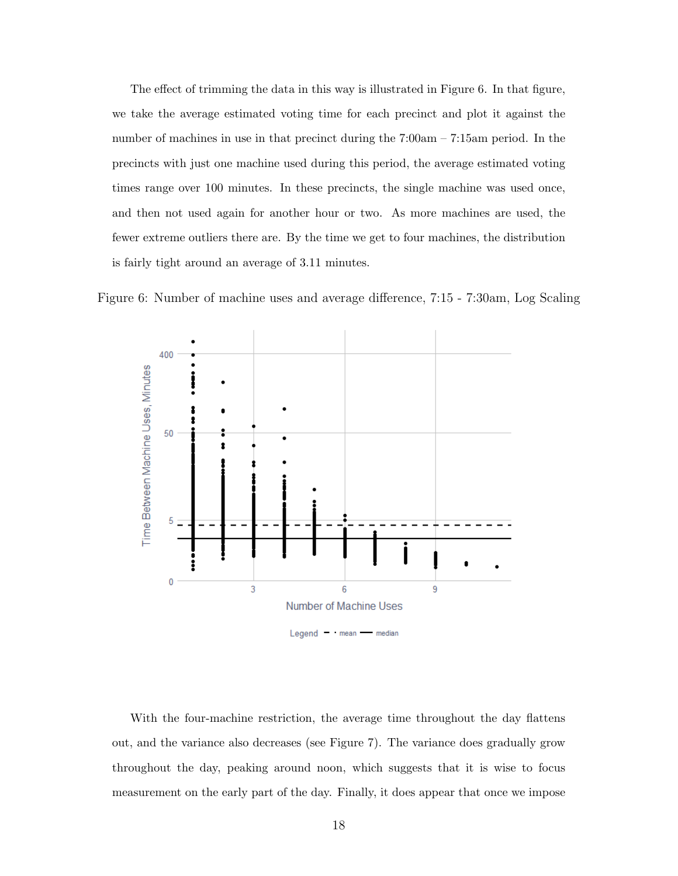The effect of trimming the data in this way is illustrated in Figure 6. In that figure, we take the average estimated voting time for each precinct and plot it against the number of machines in use in that precinct during the 7:00am – 7:15am period. In the precincts with just one machine used during this period, the average estimated voting times range over 100 minutes. In these precincts, the single machine was used once, and then not used again for another hour or two. As more machines are used, the fewer extreme outliers there are. By the time we get to four machines, the distribution is fairly tight around an average of 3.11 minutes.





With the four-machine restriction, the average time throughout the day flattens out, and the variance also decreases (see Figure 7). The variance does gradually grow throughout the day, peaking around noon, which suggests that it is wise to focus measurement on the early part of the day. Finally, it does appear that once we impose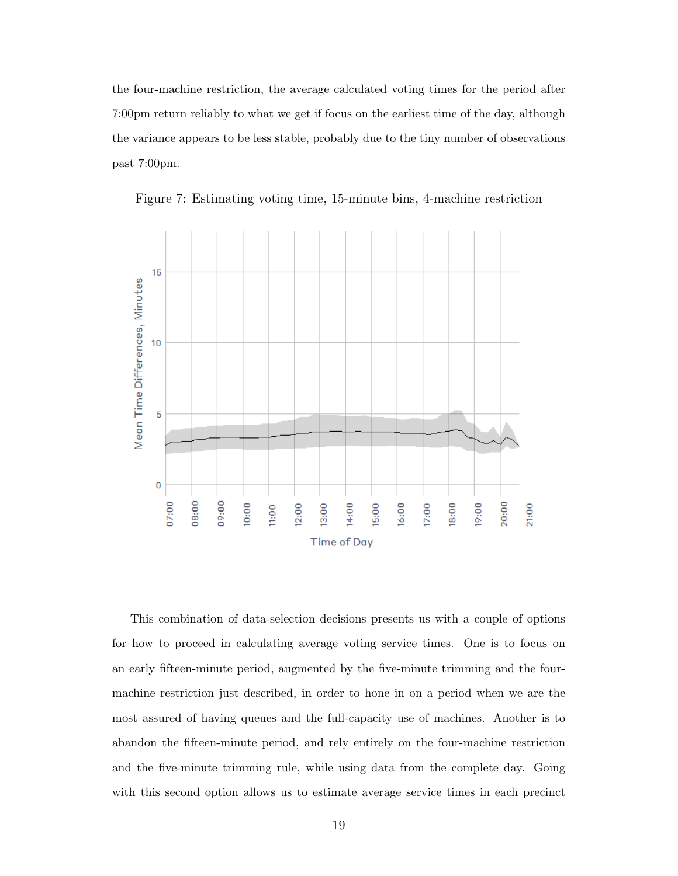the four-machine restriction, the average calculated voting times for the period after 7:00pm return reliably to what we get if focus on the earliest time of the day, although the variance appears to be less stable, probably due to the tiny number of observations past 7:00pm.



Figure 7: Estimating voting time, 15-minute bins, 4-machine restriction

This combination of data-selection decisions presents us with a couple of options for how to proceed in calculating average voting service times. One is to focus on an early fifteen-minute period, augmented by the five-minute trimming and the fourmachine restriction just described, in order to hone in on a period when we are the most assured of having queues and the full-capacity use of machines. Another is to abandon the fifteen-minute period, and rely entirely on the four-machine restriction and the five-minute trimming rule, while using data from the complete day. Going with this second option allows us to estimate average service times in each precinct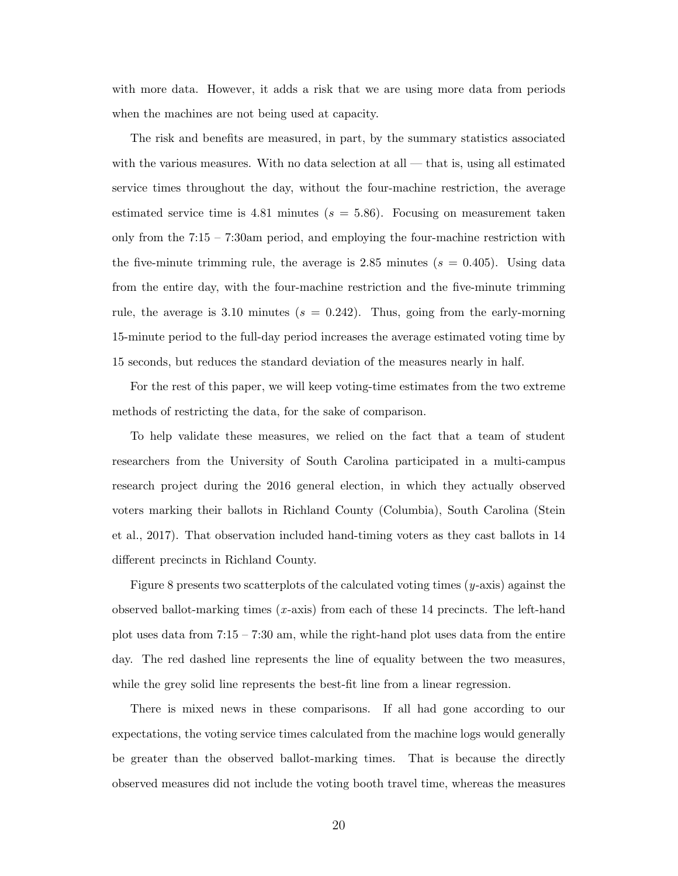with more data. However, it adds a risk that we are using more data from periods when the machines are not being used at capacity.

The risk and benefits are measured, in part, by the summary statistics associated with the various measures. With no data selection at all — that is, using all estimated service times throughout the day, without the four-machine restriction, the average estimated service time is 4.81 minutes ( $s = 5.86$ ). Focusing on measurement taken only from the  $7:15 - 7:30$ am period, and employing the four-machine restriction with the five-minute trimming rule, the average is 2.85 minutes ( $s = 0.405$ ). Using data from the entire day, with the four-machine restriction and the five-minute trimming rule, the average is 3.10 minutes ( $s = 0.242$ ). Thus, going from the early-morning 15-minute period to the full-day period increases the average estimated voting time by 15 seconds, but reduces the standard deviation of the measures nearly in half.

For the rest of this paper, we will keep voting-time estimates from the two extreme methods of restricting the data, for the sake of comparison.

To help validate these measures, we relied on the fact that a team of student researchers from the University of South Carolina participated in a multi-campus research project during the 2016 general election, in which they actually observed voters marking their ballots in Richland County (Columbia), South Carolina (Stein et al., 2017). That observation included hand-timing voters as they cast ballots in 14 different precincts in Richland County.

Figure 8 presents two scatterplots of the calculated voting times (y-axis) against the observed ballot-marking times  $(x$ -axis) from each of these 14 precincts. The left-hand plot uses data from 7:15 – 7:30 am, while the right-hand plot uses data from the entire day. The red dashed line represents the line of equality between the two measures, while the grey solid line represents the best-fit line from a linear regression.

There is mixed news in these comparisons. If all had gone according to our expectations, the voting service times calculated from the machine logs would generally be greater than the observed ballot-marking times. That is because the directly observed measures did not include the voting booth travel time, whereas the measures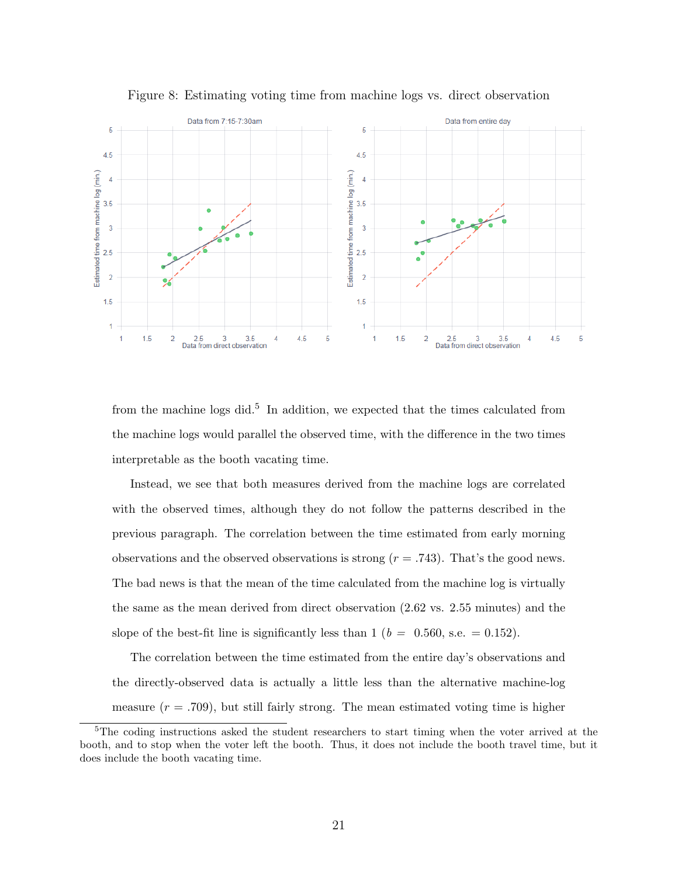

Figure 8: Estimating voting time from machine logs vs. direct observation

from the machine logs did.<sup>5</sup> In addition, we expected that the times calculated from the machine logs would parallel the observed time, with the difference in the two times interpretable as the booth vacating time.

Instead, we see that both measures derived from the machine logs are correlated with the observed times, although they do not follow the patterns described in the previous paragraph. The correlation between the time estimated from early morning observations and the observed observations is strong  $(r = .743)$ . That's the good news. The bad news is that the mean of the time calculated from the machine log is virtually the same as the mean derived from direct observation (2.62 vs. 2.55 minutes) and the slope of the best-fit line is significantly less than  $1 (b = 0.560, \text{ s.e.} = 0.152)$ .

The correlation between the time estimated from the entire day's observations and the directly-observed data is actually a little less than the alternative machine-log measure  $(r = .709)$ , but still fairly strong. The mean estimated voting time is higher

<sup>&</sup>lt;sup>5</sup>The coding instructions asked the student researchers to start timing when the voter arrived at the booth, and to stop when the voter left the booth. Thus, it does not include the booth travel time, but it does include the booth vacating time.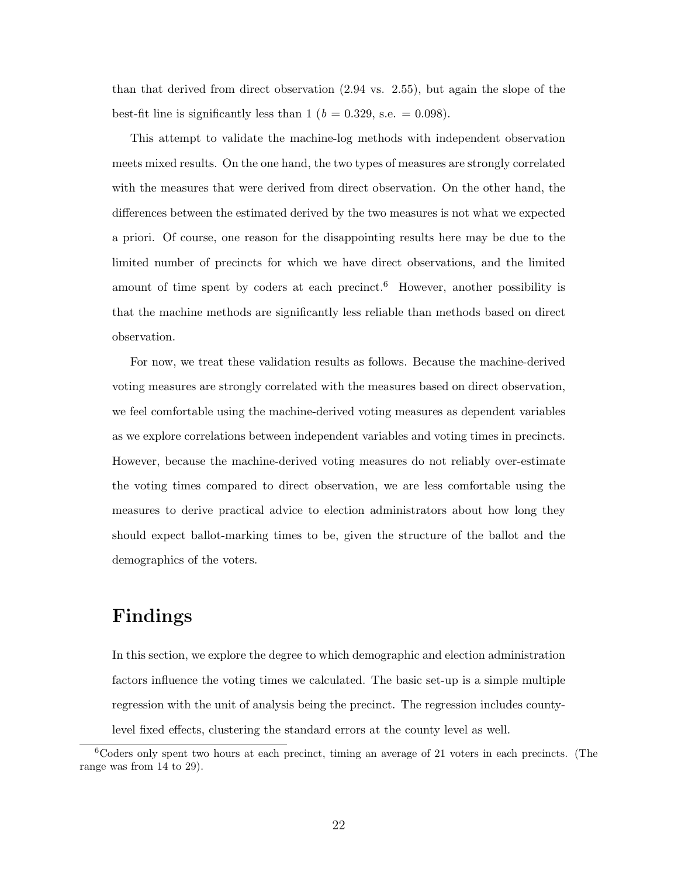than that derived from direct observation (2.94 vs. 2.55), but again the slope of the best-fit line is significantly less than 1 ( $b = 0.329$ , s.e.  $= 0.098$ ).

This attempt to validate the machine-log methods with independent observation meets mixed results. On the one hand, the two types of measures are strongly correlated with the measures that were derived from direct observation. On the other hand, the differences between the estimated derived by the two measures is not what we expected a priori. Of course, one reason for the disappointing results here may be due to the limited number of precincts for which we have direct observations, and the limited amount of time spent by coders at each precinct.<sup>6</sup> However, another possibility is that the machine methods are significantly less reliable than methods based on direct observation.

For now, we treat these validation results as follows. Because the machine-derived voting measures are strongly correlated with the measures based on direct observation, we feel comfortable using the machine-derived voting measures as dependent variables as we explore correlations between independent variables and voting times in precincts. However, because the machine-derived voting measures do not reliably over-estimate the voting times compared to direct observation, we are less comfortable using the measures to derive practical advice to election administrators about how long they should expect ballot-marking times to be, given the structure of the ballot and the demographics of the voters.

# Findings

In this section, we explore the degree to which demographic and election administration factors influence the voting times we calculated. The basic set-up is a simple multiple regression with the unit of analysis being the precinct. The regression includes countylevel fixed effects, clustering the standard errors at the county level as well.

<sup>6</sup>Coders only spent two hours at each precinct, timing an average of 21 voters in each precincts. (The range was from 14 to 29).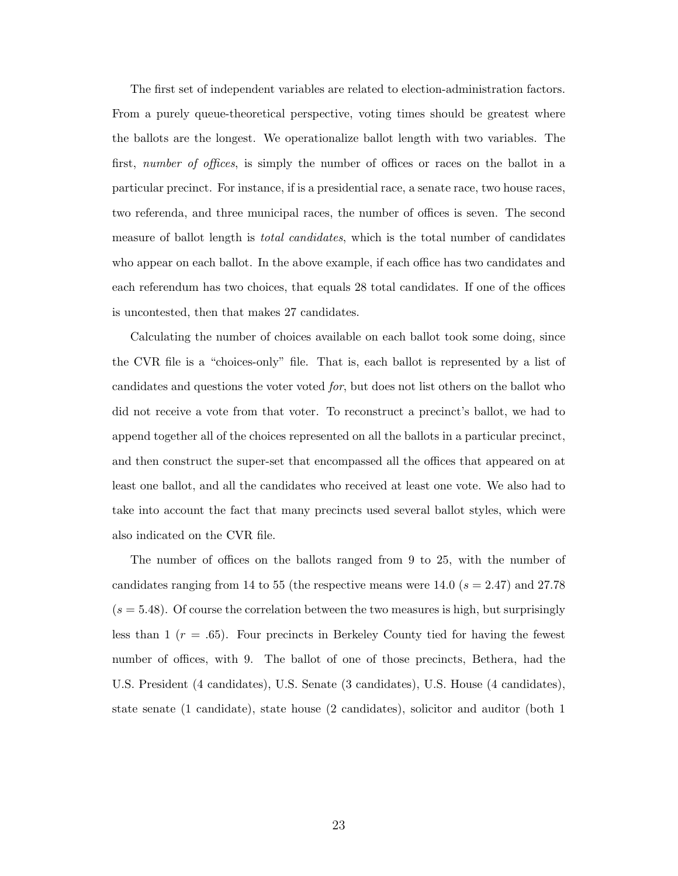The first set of independent variables are related to election-administration factors. From a purely queue-theoretical perspective, voting times should be greatest where the ballots are the longest. We operationalize ballot length with two variables. The first, number of offices, is simply the number of offices or races on the ballot in a particular precinct. For instance, if is a presidential race, a senate race, two house races, two referenda, and three municipal races, the number of offices is seven. The second measure of ballot length is *total candidates*, which is the total number of candidates who appear on each ballot. In the above example, if each office has two candidates and each referendum has two choices, that equals 28 total candidates. If one of the offices is uncontested, then that makes 27 candidates.

Calculating the number of choices available on each ballot took some doing, since the CVR file is a "choices-only" file. That is, each ballot is represented by a list of candidates and questions the voter voted for, but does not list others on the ballot who did not receive a vote from that voter. To reconstruct a precinct's ballot, we had to append together all of the choices represented on all the ballots in a particular precinct, and then construct the super-set that encompassed all the offices that appeared on at least one ballot, and all the candidates who received at least one vote. We also had to take into account the fact that many precincts used several ballot styles, which were also indicated on the CVR file.

The number of offices on the ballots ranged from 9 to 25, with the number of candidates ranging from 14 to 55 (the respective means were 14.0 ( $s = 2.47$ ) and 27.78  $(s = 5.48)$ . Of course the correlation between the two measures is high, but surprisingly less than 1 ( $r = .65$ ). Four precincts in Berkeley County tied for having the fewest number of offices, with 9. The ballot of one of those precincts, Bethera, had the U.S. President (4 candidates), U.S. Senate (3 candidates), U.S. House (4 candidates), state senate (1 candidate), state house (2 candidates), solicitor and auditor (both 1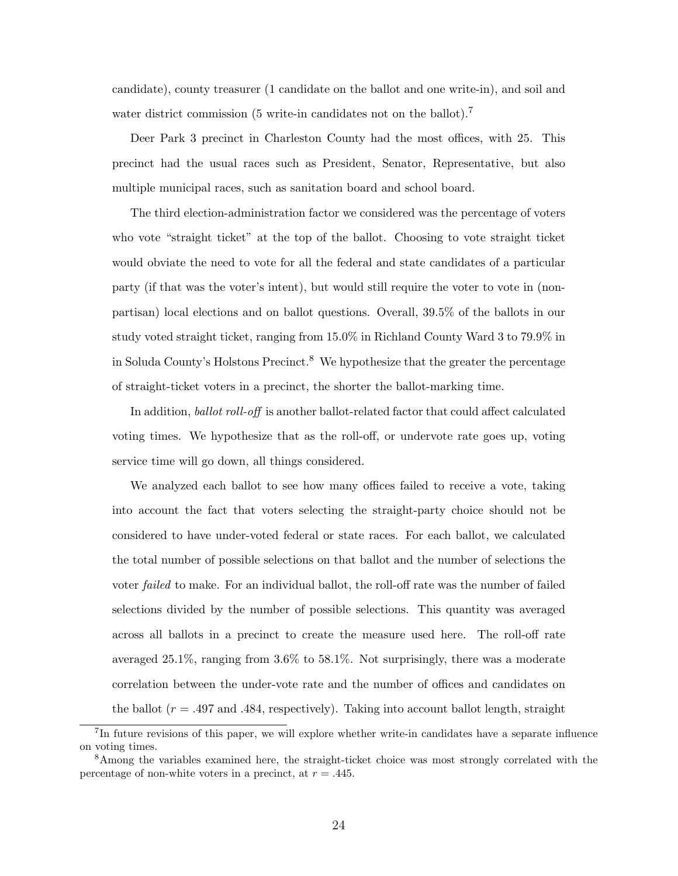candidate), county treasurer (1 candidate on the ballot and one write-in), and soil and water district commission (5 write-in candidates not on the ballot).

Deer Park 3 precinct in Charleston County had the most offices, with 25. This precinct had the usual races such as President, Senator, Representative, but also multiple municipal races, such as sanitation board and school board.

The third election-administration factor we considered was the percentage of voters who vote "straight ticket" at the top of the ballot. Choosing to vote straight ticket would obviate the need to vote for all the federal and state candidates of a particular party (if that was the voter's intent), but would still require the voter to vote in (nonpartisan) local elections and on ballot questions. Overall, 39.5% of the ballots in our study voted straight ticket, ranging from 15.0% in Richland County Ward 3 to 79.9% in in Soluda County's Holstons Precinct.<sup>8</sup> We hypothesize that the greater the percentage of straight-ticket voters in a precinct, the shorter the ballot-marking time.

In addition, ballot roll-off is another ballot-related factor that could affect calculated voting times. We hypothesize that as the roll-off, or undervote rate goes up, voting service time will go down, all things considered.

We analyzed each ballot to see how many offices failed to receive a vote, taking into account the fact that voters selecting the straight-party choice should not be considered to have under-voted federal or state races. For each ballot, we calculated the total number of possible selections on that ballot and the number of selections the voter failed to make. For an individual ballot, the roll-off rate was the number of failed selections divided by the number of possible selections. This quantity was averaged across all ballots in a precinct to create the measure used here. The roll-off rate averaged 25.1%, ranging from 3.6% to 58.1%. Not surprisingly, there was a moderate correlation between the under-vote rate and the number of offices and candidates on the ballot  $(r = .497 \text{ and } .484$ , respectively). Taking into account ballot length, straight

<sup>&</sup>lt;sup>7</sup>In future revisions of this paper, we will explore whether write-in candidates have a separate influence on voting times.

<sup>&</sup>lt;sup>8</sup>Among the variables examined here, the straight-ticket choice was most strongly correlated with the percentage of non-white voters in a precinct, at  $r = .445$ .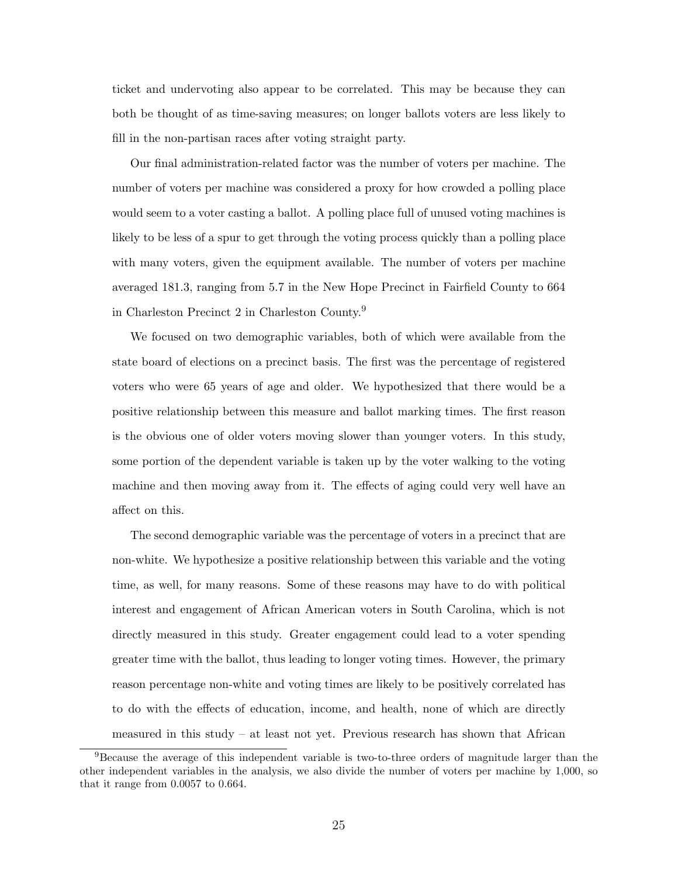ticket and undervoting also appear to be correlated. This may be because they can both be thought of as time-saving measures; on longer ballots voters are less likely to fill in the non-partisan races after voting straight party.

Our final administration-related factor was the number of voters per machine. The number of voters per machine was considered a proxy for how crowded a polling place would seem to a voter casting a ballot. A polling place full of unused voting machines is likely to be less of a spur to get through the voting process quickly than a polling place with many voters, given the equipment available. The number of voters per machine averaged 181.3, ranging from 5.7 in the New Hope Precinct in Fairfield County to 664 in Charleston Precinct 2 in Charleston County.<sup>9</sup>

We focused on two demographic variables, both of which were available from the state board of elections on a precinct basis. The first was the percentage of registered voters who were 65 years of age and older. We hypothesized that there would be a positive relationship between this measure and ballot marking times. The first reason is the obvious one of older voters moving slower than younger voters. In this study, some portion of the dependent variable is taken up by the voter walking to the voting machine and then moving away from it. The effects of aging could very well have an affect on this.

The second demographic variable was the percentage of voters in a precinct that are non-white. We hypothesize a positive relationship between this variable and the voting time, as well, for many reasons. Some of these reasons may have to do with political interest and engagement of African American voters in South Carolina, which is not directly measured in this study. Greater engagement could lead to a voter spending greater time with the ballot, thus leading to longer voting times. However, the primary reason percentage non-white and voting times are likely to be positively correlated has to do with the effects of education, income, and health, none of which are directly measured in this study – at least not yet. Previous research has shown that African

<sup>9</sup>Because the average of this independent variable is two-to-three orders of magnitude larger than the other independent variables in the analysis, we also divide the number of voters per machine by 1,000, so that it range from 0.0057 to 0.664.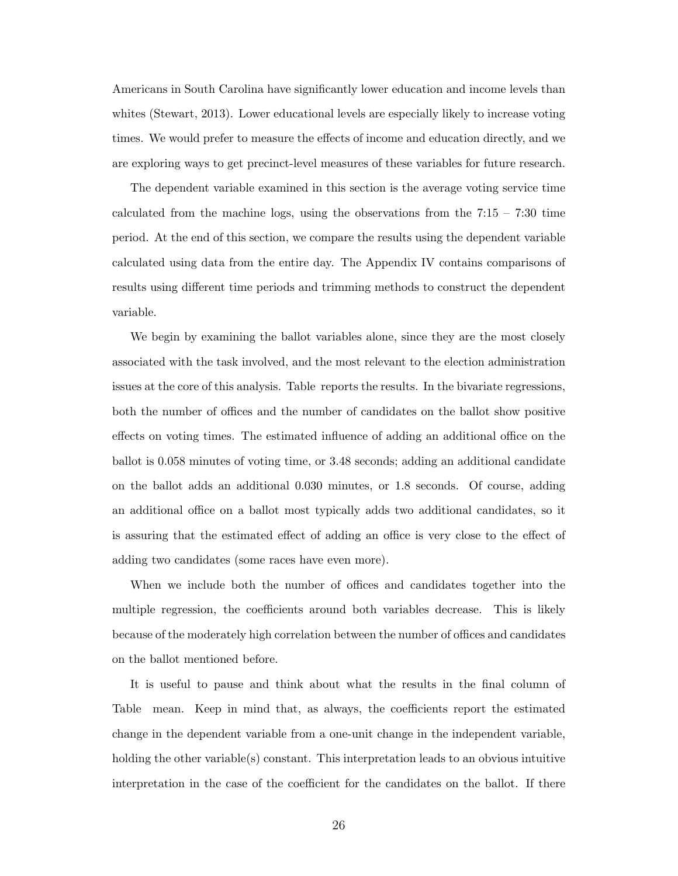Americans in South Carolina have significantly lower education and income levels than whites (Stewart, 2013). Lower educational levels are especially likely to increase voting times. We would prefer to measure the effects of income and education directly, and we are exploring ways to get precinct-level measures of these variables for future research.

The dependent variable examined in this section is the average voting service time calculated from the machine logs, using the observations from the  $7:15 - 7:30$  time period. At the end of this section, we compare the results using the dependent variable calculated using data from the entire day. The Appendix IV contains comparisons of results using different time periods and trimming methods to construct the dependent variable.

We begin by examining the ballot variables alone, since they are the most closely associated with the task involved, and the most relevant to the election administration issues at the core of this analysis. Table reports the results. In the bivariate regressions, both the number of offices and the number of candidates on the ballot show positive effects on voting times. The estimated influence of adding an additional office on the ballot is 0.058 minutes of voting time, or 3.48 seconds; adding an additional candidate on the ballot adds an additional 0.030 minutes, or 1.8 seconds. Of course, adding an additional office on a ballot most typically adds two additional candidates, so it is assuring that the estimated effect of adding an office is very close to the effect of adding two candidates (some races have even more).

When we include both the number of offices and candidates together into the multiple regression, the coefficients around both variables decrease. This is likely because of the moderately high correlation between the number of offices and candidates on the ballot mentioned before.

It is useful to pause and think about what the results in the final column of Table mean. Keep in mind that, as always, the coefficients report the estimated change in the dependent variable from a one-unit change in the independent variable, holding the other variable(s) constant. This interpretation leads to an obvious intuitive interpretation in the case of the coefficient for the candidates on the ballot. If there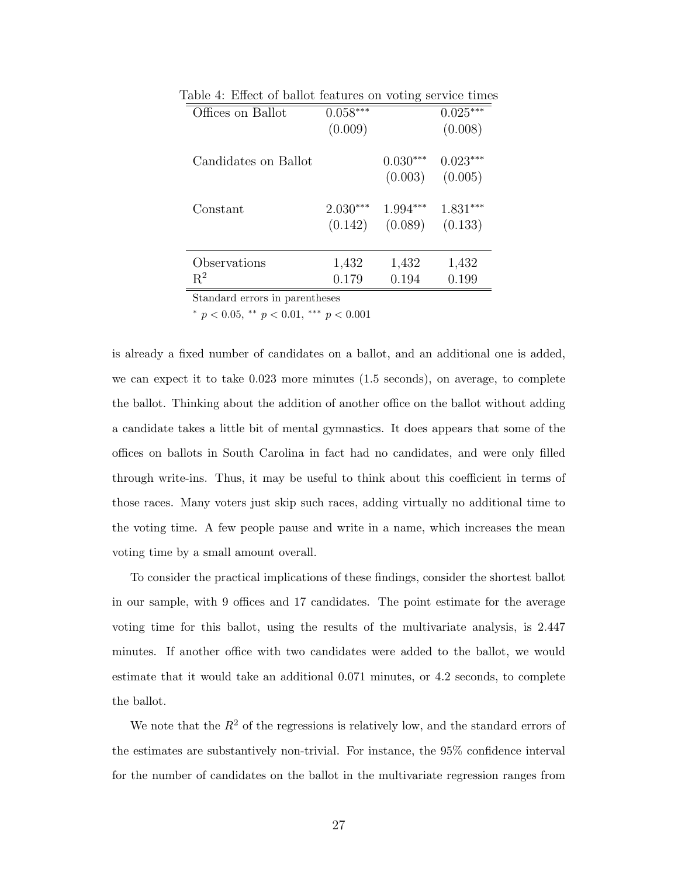| $0.058***$ |            | $0.025***$ |
|------------|------------|------------|
|            |            | (0.008)    |
|            | $0.030***$ | $0.023***$ |
|            | (0.003)    | (0.005)    |
| $2.030***$ | $1.994***$ | $1.831***$ |
| (0.142)    | (0.089)    | (0.133)    |
|            |            |            |
| 1,432      | 1,432      | 1,432      |
| 0.179      | 0.194      | 0.199      |
|            | (0.009)    |            |

Table 4: Effect of ballot features on voting service times

Standard errors in parentheses

<sup>∗</sup> p < 0.05, ∗∗ p < 0.01, ∗∗∗ p < 0.001

is already a fixed number of candidates on a ballot, and an additional one is added, we can expect it to take 0.023 more minutes (1.5 seconds), on average, to complete the ballot. Thinking about the addition of another office on the ballot without adding a candidate takes a little bit of mental gymnastics. It does appears that some of the offices on ballots in South Carolina in fact had no candidates, and were only filled through write-ins. Thus, it may be useful to think about this coefficient in terms of those races. Many voters just skip such races, adding virtually no additional time to the voting time. A few people pause and write in a name, which increases the mean voting time by a small amount overall.

To consider the practical implications of these findings, consider the shortest ballot in our sample, with 9 offices and 17 candidates. The point estimate for the average voting time for this ballot, using the results of the multivariate analysis, is 2.447 minutes. If another office with two candidates were added to the ballot, we would estimate that it would take an additional 0.071 minutes, or 4.2 seconds, to complete the ballot.

We note that the  $R^2$  of the regressions is relatively low, and the standard errors of the estimates are substantively non-trivial. For instance, the 95% confidence interval for the number of candidates on the ballot in the multivariate regression ranges from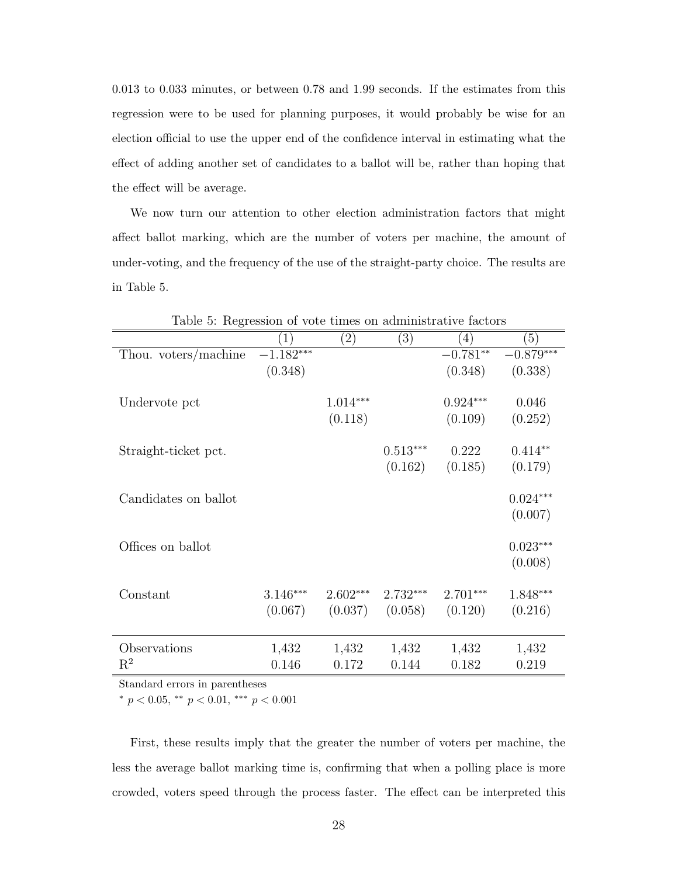0.013 to 0.033 minutes, or between 0.78 and 1.99 seconds. If the estimates from this regression were to be used for planning purposes, it would probably be wise for an election official to use the upper end of the confidence interval in estimating what the effect of adding another set of candidates to a ballot will be, rather than hoping that the effect will be average.

We now turn our attention to other election administration factors that might affect ballot marking, which are the number of voters per machine, the amount of under-voting, and the frequency of the use of the straight-party choice. The results are in Table 5.

| rable 9. regionship of vote things |                  |            |            |                  |             |
|------------------------------------|------------------|------------|------------|------------------|-------------|
|                                    | $\left(1\right)$ | (2)        | (3)        | $\left(4\right)$ | (5)         |
| Thou. voters/machine               | $-1.182***$      |            |            | $-0.781**$       | $-0.879***$ |
|                                    | (0.348)          |            |            | (0.348)          | (0.338)     |
|                                    |                  |            |            |                  |             |
| Undervote pct                      |                  | $1.014***$ |            | $0.924***$       | 0.046       |
|                                    |                  | (0.118)    |            | (0.109)          | (0.252)     |
|                                    |                  |            |            |                  |             |
| Straight-ticket pct.               |                  |            | $0.513***$ | 0.222            | $0.414**$   |
|                                    |                  |            | (0.162)    | (0.185)          | (0.179)     |
|                                    |                  |            |            |                  |             |
| Candidates on ballot               |                  |            |            |                  | $0.024***$  |
|                                    |                  |            |            |                  | (0.007)     |
|                                    |                  |            |            |                  |             |
| Offices on ballot                  |                  |            |            |                  | $0.023***$  |
|                                    |                  |            |            |                  | (0.008)     |
|                                    |                  |            |            |                  |             |
| Constant                           | $3.146***$       | $2.602***$ | $2.732***$ | $2.701***$       | 1.848***    |
|                                    | (0.067)          | (0.037)    | (0.058)    | (0.120)          | (0.216)     |
|                                    |                  |            |            |                  |             |
| Observations                       | 1,432            | 1,432      | 1,432      | 1,432            | 1,432       |
| $R^2$                              | 0.146            | 0.172      | 0.144      | 0.182            | 0.219       |
|                                    |                  |            |            |                  |             |

Table 5: Regression of vote times on administrative factors

Standard errors in parentheses

\*  $p < 0.05$ , \*\*  $p < 0.01$ , \*\*\*  $p < 0.001$ 

First, these results imply that the greater the number of voters per machine, the less the average ballot marking time is, confirming that when a polling place is more crowded, voters speed through the process faster. The effect can be interpreted this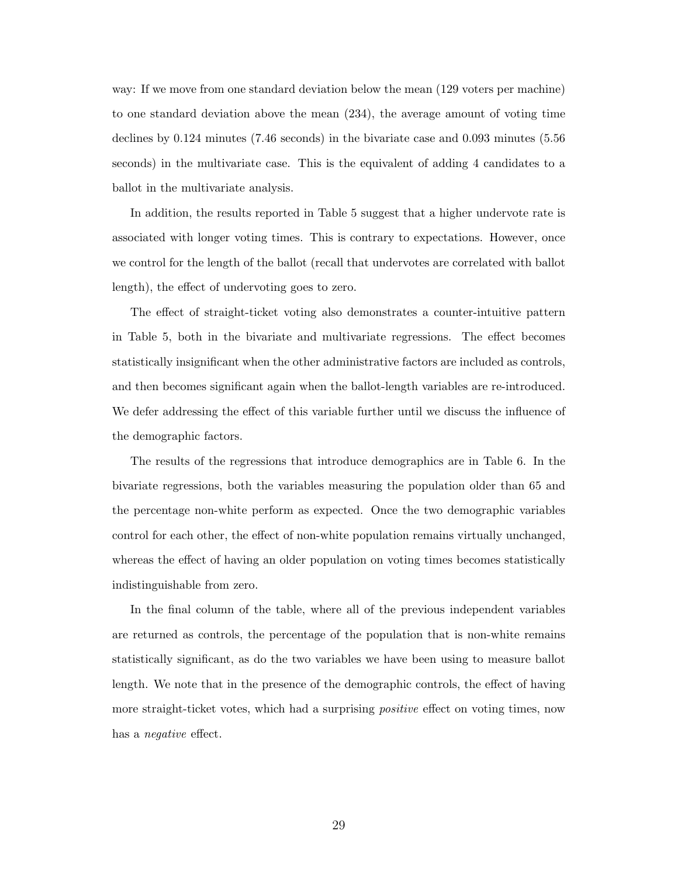way: If we move from one standard deviation below the mean (129 voters per machine) to one standard deviation above the mean (234), the average amount of voting time declines by 0.124 minutes (7.46 seconds) in the bivariate case and 0.093 minutes (5.56 seconds) in the multivariate case. This is the equivalent of adding 4 candidates to a ballot in the multivariate analysis.

In addition, the results reported in Table 5 suggest that a higher undervote rate is associated with longer voting times. This is contrary to expectations. However, once we control for the length of the ballot (recall that undervotes are correlated with ballot length), the effect of undervoting goes to zero.

The effect of straight-ticket voting also demonstrates a counter-intuitive pattern in Table 5, both in the bivariate and multivariate regressions. The effect becomes statistically insignificant when the other administrative factors are included as controls, and then becomes significant again when the ballot-length variables are re-introduced. We defer addressing the effect of this variable further until we discuss the influence of the demographic factors.

The results of the regressions that introduce demographics are in Table 6. In the bivariate regressions, both the variables measuring the population older than 65 and the percentage non-white perform as expected. Once the two demographic variables control for each other, the effect of non-white population remains virtually unchanged, whereas the effect of having an older population on voting times becomes statistically indistinguishable from zero.

In the final column of the table, where all of the previous independent variables are returned as controls, the percentage of the population that is non-white remains statistically significant, as do the two variables we have been using to measure ballot length. We note that in the presence of the demographic controls, the effect of having more straight-ticket votes, which had a surprising *positive* effect on voting times, now has a negative effect.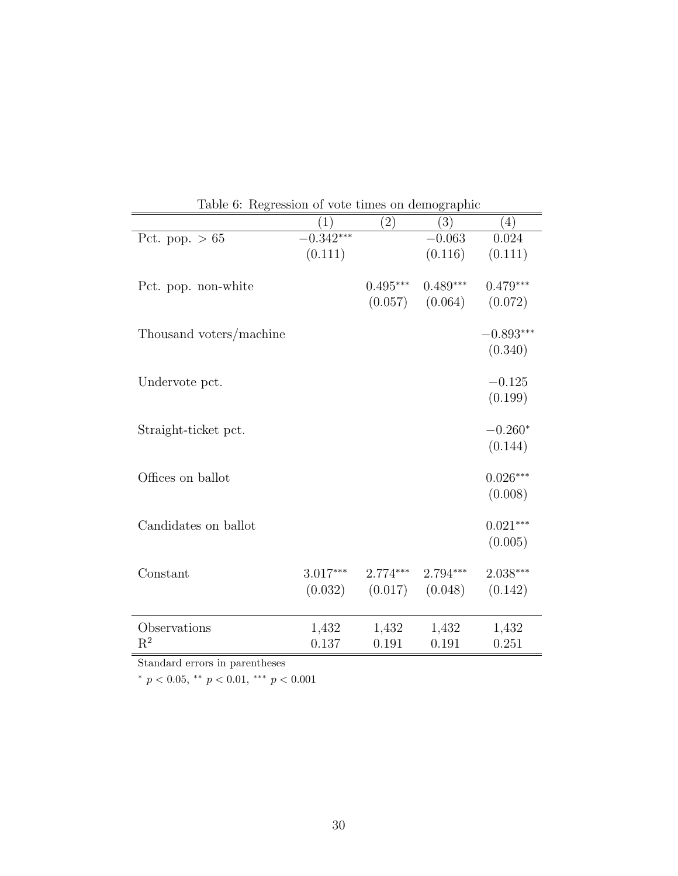| Lable 0. The resident of voice times on demographic |                  |            |                  |             |
|-----------------------------------------------------|------------------|------------|------------------|-------------|
|                                                     | $\left(1\right)$ | (2)        | $\left(3\right)$ | (4)         |
| Pct. pop. $> 65$                                    | $-0.342***$      |            | $-0.063$         | 0.024       |
|                                                     | (0.111)          |            | (0.116)          | (0.111)     |
|                                                     |                  |            |                  |             |
| Pct. pop. non-white                                 |                  | $0.495***$ | $0.489***$       | $0.479***$  |
|                                                     |                  | (0.057)    | (0.064)          | (0.072)     |
|                                                     |                  |            |                  |             |
| Thousand voters/machine                             |                  |            |                  | $-0.893***$ |
|                                                     |                  |            |                  | (0.340)     |
|                                                     |                  |            |                  |             |
| Undervote pct.                                      |                  |            |                  | $-0.125$    |
|                                                     |                  |            |                  | (0.199)     |
|                                                     |                  |            |                  |             |
| Straight-ticket pct.                                |                  |            |                  | $-0.260*$   |
|                                                     |                  |            |                  | (0.144)     |
|                                                     |                  |            |                  |             |
| Offices on ballot                                   |                  |            |                  | $0.026***$  |
|                                                     |                  |            |                  | (0.008)     |
|                                                     |                  |            |                  |             |
| Candidates on ballot                                |                  |            |                  | $0.021***$  |
|                                                     |                  |            |                  | (0.005)     |
|                                                     |                  |            |                  |             |
| Constant                                            | $3.017***$       | $2.774***$ | $2.794***$       | $2.038***$  |
|                                                     | (0.032)          | (0.017)    | (0.048)          | (0.142)     |
|                                                     |                  |            |                  |             |
| Observations                                        | 1,432            | 1,432      | 1,432            | 1,432       |
| $\mathrm{R}^2$                                      | 0.137            | 0.191      | 0.191            | 0.251       |
|                                                     |                  |            |                  |             |

|  |  |  | Table 6: Regression of vote times on demographic |  |
|--|--|--|--------------------------------------------------|--|
|  |  |  |                                                  |  |

Standard errors in parentheses

 $*$   $p$   $<$   $0.05,$   $^{**}$   $p$   $<$   $0.01,$   $^{***}$   $p$   $<$   $0.001$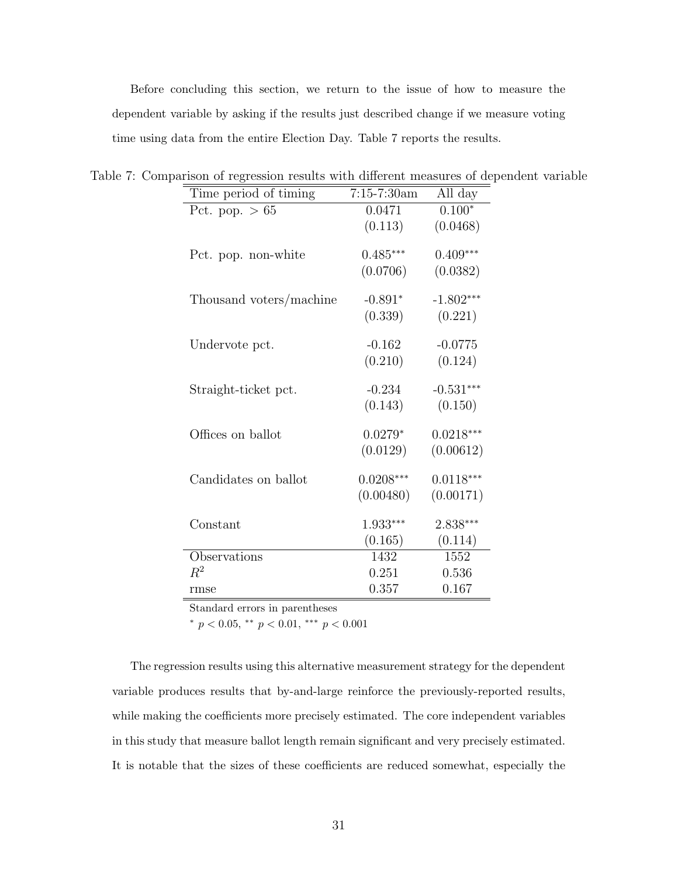Before concluding this section, we return to the issue of how to measure the dependent variable by asking if the results just described change if we measure voting time using data from the entire Election Day. Table 7 reports the results.

| Time period of timing   | $7:15-7:30am$ | All day     |
|-------------------------|---------------|-------------|
| Pct. pop. $> 65$        | 0.0471        | $0.100*$    |
|                         | (0.113)       | (0.0468)    |
|                         |               |             |
| Pct. pop. non-white     | $0.485***$    | $0.409***$  |
|                         | (0.0706)      | (0.0382)    |
|                         |               |             |
| Thousand voters/machine | $-0.891*$     | $-1.802***$ |
|                         | (0.339)       | (0.221)     |
|                         |               |             |
| Undervote pct.          | $-0.162$      | $-0.0775$   |
|                         | (0.210)       | (0.124)     |
| Straight-ticket pct.    | $-0.234$      | $-0.531***$ |
|                         | (0.143)       | (0.150)     |
|                         |               |             |
| Offices on ballot       | $0.0279*$     | $0.0218***$ |
|                         | (0.0129)      | (0.00612)   |
|                         |               |             |
| Candidates on ballot    | $0.0208***$   | $0.0118***$ |
|                         | (0.00480)     | (0.00171)   |
|                         |               |             |
| Constant                | $1.933***$    | 2.838***    |
|                         | (0.165)       | (0.114)     |
| Observations            | 1432          | 1552        |
| $R^2$                   | 0.251         | 0.536       |
| rmse                    | 0.357         | 0.167       |

Table 7: Comparison of regression results with different measures of dependent variable

Standard errors in parentheses

\*  $p < 0.05$ , \*\*  $p < 0.01$ , \*\*\*  $p < 0.001$ 

The regression results using this alternative measurement strategy for the dependent variable produces results that by-and-large reinforce the previously-reported results, while making the coefficients more precisely estimated. The core independent variables in this study that measure ballot length remain significant and very precisely estimated. It is notable that the sizes of these coefficients are reduced somewhat, especially the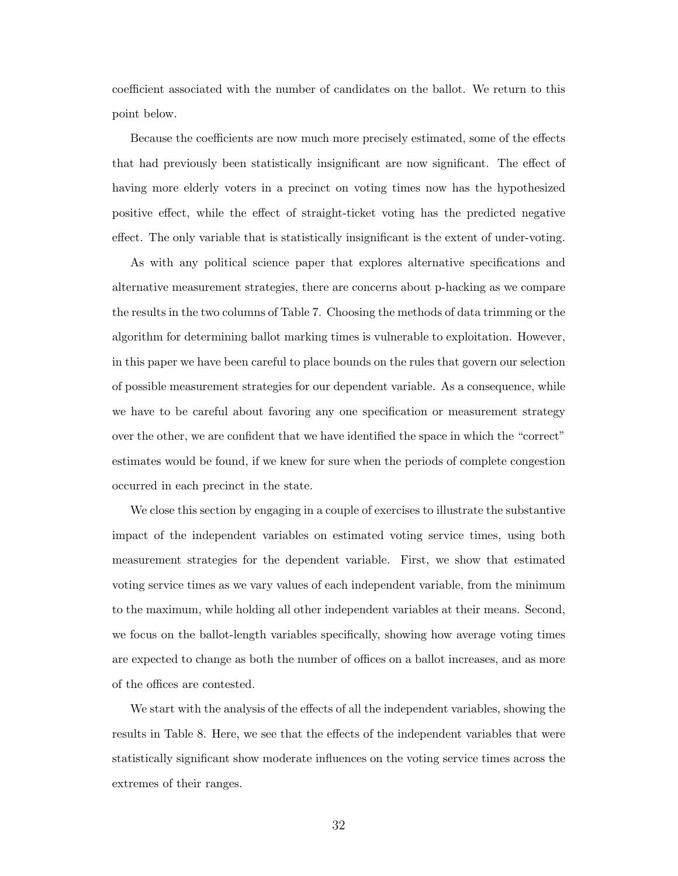coefficient associated with the number of candidates on the ballot. We return to this point below.

Because the coefficients are now much more precisely estimated, some of the effects that had previously been statistically insignificant are now significant. The effect of having more elderly voters in a precinct on voting times now has the hypothesized positive effect, while the effect of straight-ticket voting has the predicted negative effect. The only variable that is statistically insignificant is the extent of under-voting.

As with any political science paper that explores alternative specifications and alternative measurement strategies, there are concerns about p-hacking as we compare the results in the two columns of Table 7. Choosing the methods of data trimming or the algorithm for determining ballot marking times is vulnerable to exploitation. However, in this paper we have been careful to place bounds on the rules that govern our selection of possible measurement strategies for our dependent variable. As a consequence, while we have to be careful about favoring any one specification or measurement strategy over the other, we are confident that we have identified the space in which the "correct" estimates would be found, if we knew for sure when the periods of complete congestion occurred in each precinct in the state.

We close this section by engaging in a couple of exercises to illustrate the substantive impact of the independent variables on estimated voting service times, using both measurement strategies for the dependent variable. First, we show that estimated voting service times as we vary values of each independent variable, from the minimum to the maximum, while holding all other independent variables at their means. Second, we focus on the ballot-length variables specifically, showing how average voting times are expected to change as both the number of offices on a ballot increases, and as more of the offices are contested.

We start with the analysis of the effects of all the independent variables, showing the results in Table 8. Here, we see that the effects of the independent variables that were statistically significant show moderate influences on the voting service times across the extremes of their ranges.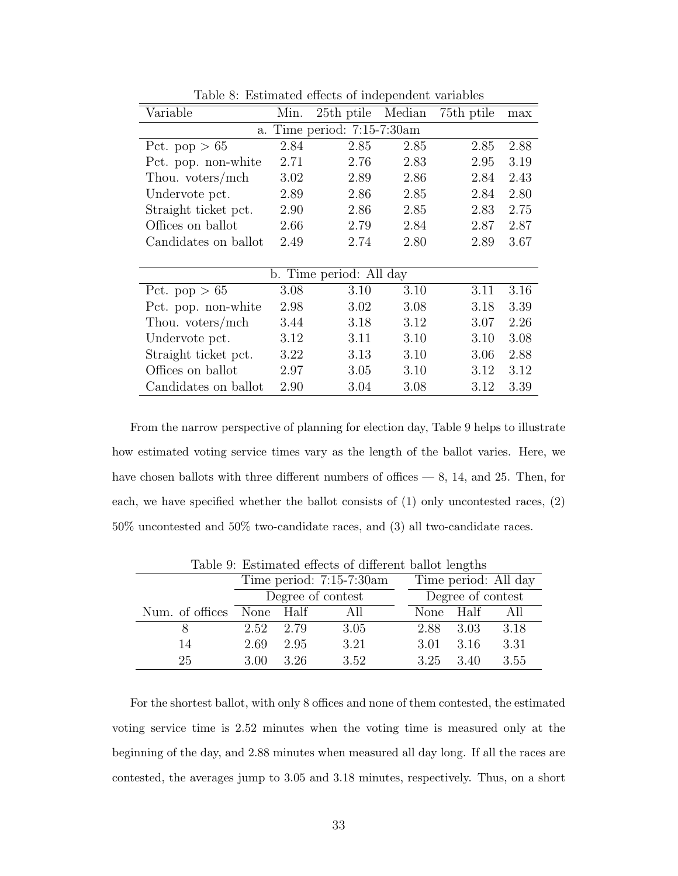| Variable             | Min. | 25th ptile                  | Median | 75th ptile | max  |
|----------------------|------|-----------------------------|--------|------------|------|
|                      |      | a. Time period: 7:15-7:30am |        |            |      |
| Pct. $pop > 65$      | 2.84 | 2.85                        | 2.85   | 2.85       | 2.88 |
| Pct. pop. non-white  | 2.71 | 2.76                        | 2.83   | 2.95       | 3.19 |
| Thou. voters/mch     | 3.02 | 2.89                        | 2.86   | 2.84       | 2.43 |
| Undervote pct.       | 2.89 | 2.86                        | 2.85   | 2.84       | 2.80 |
| Straight ticket pct. | 2.90 | 2.86                        | 2.85   | 2.83       | 2.75 |
| Offices on ballot    | 2.66 | 2.79                        | 2.84   | 2.87       | 2.87 |
| Candidates on ballot | 2.49 | 2.74                        | 2.80   | 2.89       | 3.67 |
|                      |      |                             |        |            |      |
|                      |      | b. Time period: All day     |        |            |      |
| Pct. pop $> 65$      | 3.08 | 3.10                        | 3.10   | 3.11       | 3.16 |
| Pct. pop. non-white  | 2.98 | 3.02                        | 3.08   | 3.18       | 3.39 |
| Thou. voters/mch     | 3.44 | 3.18                        | 3.12   | 3.07       | 2.26 |
| Undervote pct.       | 3.12 | 3.11                        | 3.10   | 3.10       | 3.08 |
| Straight ticket pct. | 3.22 | 3.13                        | 3.10   | 3.06       | 2.88 |
| Offices on ballot    | 2.97 | 3.05                        | 3.10   | 3.12       | 3.12 |
| Candidates on ballot | 2.90 | 3.04                        | 3.08   | 3.12       | 3.39 |

Table 8: Estimated effects of independent variables

From the narrow perspective of planning for election day, Table 9 helps to illustrate how estimated voting service times vary as the length of the ballot varies. Here, we have chosen ballots with three different numbers of offices  $-8$ , 14, and 25. Then, for each, we have specified whether the ballot consists of (1) only uncontested races, (2) 50% uncontested and 50% two-candidate races, and (3) all two-candidate races.

| Table 9: Estimated effects of different ballot lengths |                             |                   |      |           |                   |                      |
|--------------------------------------------------------|-----------------------------|-------------------|------|-----------|-------------------|----------------------|
|                                                        | Time period: $7:15-7:30$ am |                   |      |           |                   | Time period: All day |
|                                                        |                             | Degree of contest |      |           | Degree of contest |                      |
| Num. of offices None Half                              |                             |                   | Аll  | None Half |                   | All                  |
|                                                        | 2.52 2.79                   |                   | 3.05 | 2.88 3.03 |                   | 3.18                 |
| 14                                                     | 2.69                        | 2.95              | 3.21 | 3.01      | 3.16              | 3.31                 |
| 25                                                     | 3.00                        | 3.26              | 3.52 | 3.25      | 3.40              | 3.55                 |

Table 9: Estimated effects of different ballot lengths

For the shortest ballot, with only 8 offices and none of them contested, the estimated voting service time is 2.52 minutes when the voting time is measured only at the beginning of the day, and 2.88 minutes when measured all day long. If all the races are contested, the averages jump to 3.05 and 3.18 minutes, respectively. Thus, on a short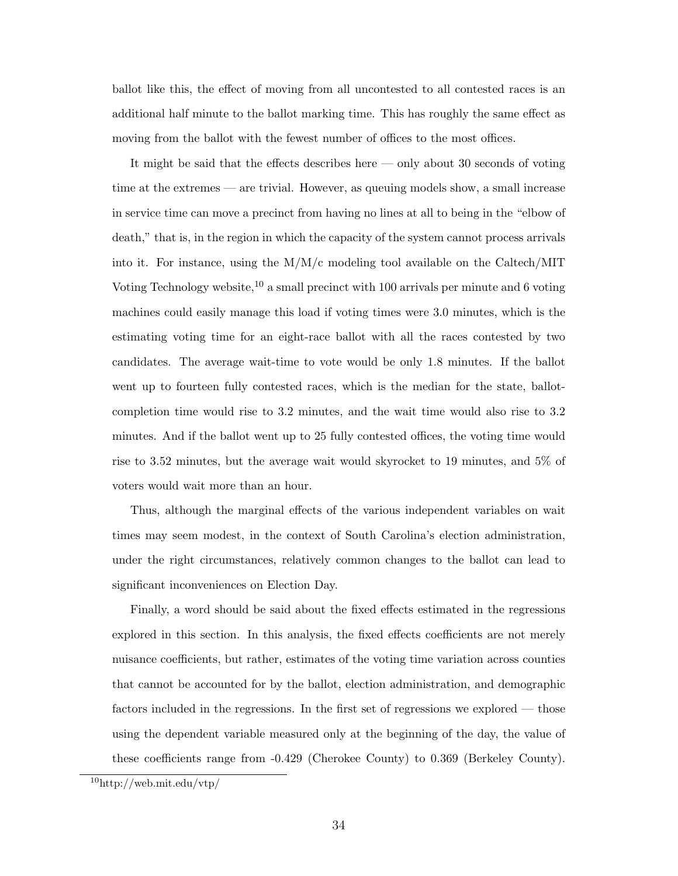ballot like this, the effect of moving from all uncontested to all contested races is an additional half minute to the ballot marking time. This has roughly the same effect as moving from the ballot with the fewest number of offices to the most offices.

It might be said that the effects describes here — only about 30 seconds of voting time at the extremes — are trivial. However, as queuing models show, a small increase in service time can move a precinct from having no lines at all to being in the "elbow of death," that is, in the region in which the capacity of the system cannot process arrivals into it. For instance, using the  $M/M/c$  modeling tool available on the Caltech/MIT Voting Technology website,  $^{10}$  a small precinct with 100 arrivals per minute and 6 voting machines could easily manage this load if voting times were 3.0 minutes, which is the estimating voting time for an eight-race ballot with all the races contested by two candidates. The average wait-time to vote would be only 1.8 minutes. If the ballot went up to fourteen fully contested races, which is the median for the state, ballotcompletion time would rise to 3.2 minutes, and the wait time would also rise to 3.2 minutes. And if the ballot went up to 25 fully contested offices, the voting time would rise to 3.52 minutes, but the average wait would skyrocket to 19 minutes, and 5% of voters would wait more than an hour.

Thus, although the marginal effects of the various independent variables on wait times may seem modest, in the context of South Carolina's election administration, under the right circumstances, relatively common changes to the ballot can lead to significant inconveniences on Election Day.

Finally, a word should be said about the fixed effects estimated in the regressions explored in this section. In this analysis, the fixed effects coefficients are not merely nuisance coefficients, but rather, estimates of the voting time variation across counties that cannot be accounted for by the ballot, election administration, and demographic factors included in the regressions. In the first set of regressions we explored — those using the dependent variable measured only at the beginning of the day, the value of these coefficients range from -0.429 (Cherokee County) to 0.369 (Berkeley County).

 $10$ http://web.mit.edu/vtp/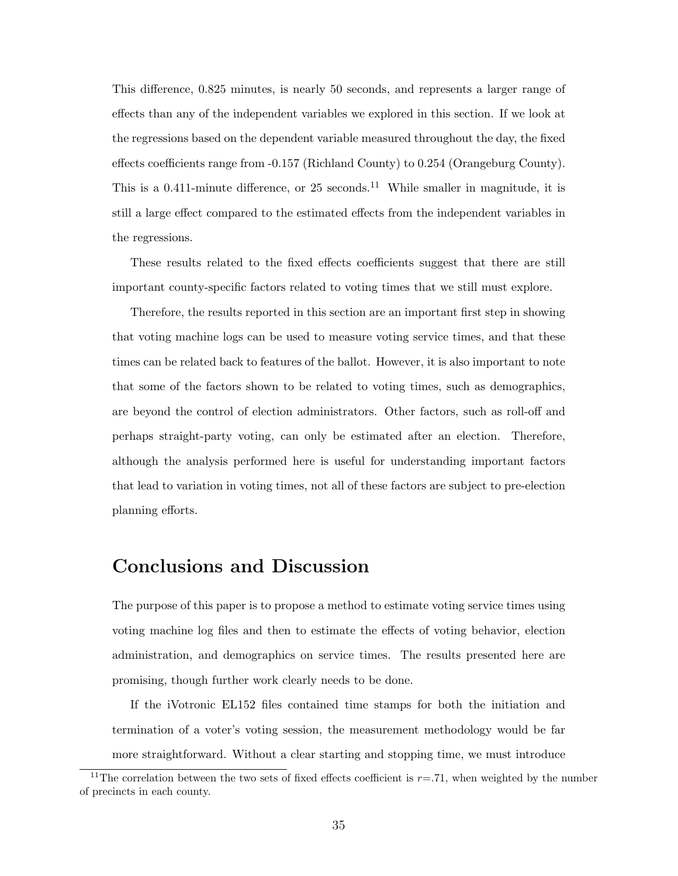This difference, 0.825 minutes, is nearly 50 seconds, and represents a larger range of effects than any of the independent variables we explored in this section. If we look at the regressions based on the dependent variable measured throughout the day, the fixed effects coefficients range from -0.157 (Richland County) to 0.254 (Orangeburg County). This is a 0.411-minute difference, or  $25$  seconds.<sup>11</sup> While smaller in magnitude, it is still a large effect compared to the estimated effects from the independent variables in the regressions.

These results related to the fixed effects coefficients suggest that there are still important county-specific factors related to voting times that we still must explore.

Therefore, the results reported in this section are an important first step in showing that voting machine logs can be used to measure voting service times, and that these times can be related back to features of the ballot. However, it is also important to note that some of the factors shown to be related to voting times, such as demographics, are beyond the control of election administrators. Other factors, such as roll-off and perhaps straight-party voting, can only be estimated after an election. Therefore, although the analysis performed here is useful for understanding important factors that lead to variation in voting times, not all of these factors are subject to pre-election planning efforts.

## Conclusions and Discussion

The purpose of this paper is to propose a method to estimate voting service times using voting machine log files and then to estimate the effects of voting behavior, election administration, and demographics on service times. The results presented here are promising, though further work clearly needs to be done.

If the iVotronic EL152 files contained time stamps for both the initiation and termination of a voter's voting session, the measurement methodology would be far more straightforward. Without a clear starting and stopping time, we must introduce

<sup>&</sup>lt;sup>11</sup>The correlation between the two sets of fixed effects coefficient is  $r = .71$ , when weighted by the number of precincts in each county.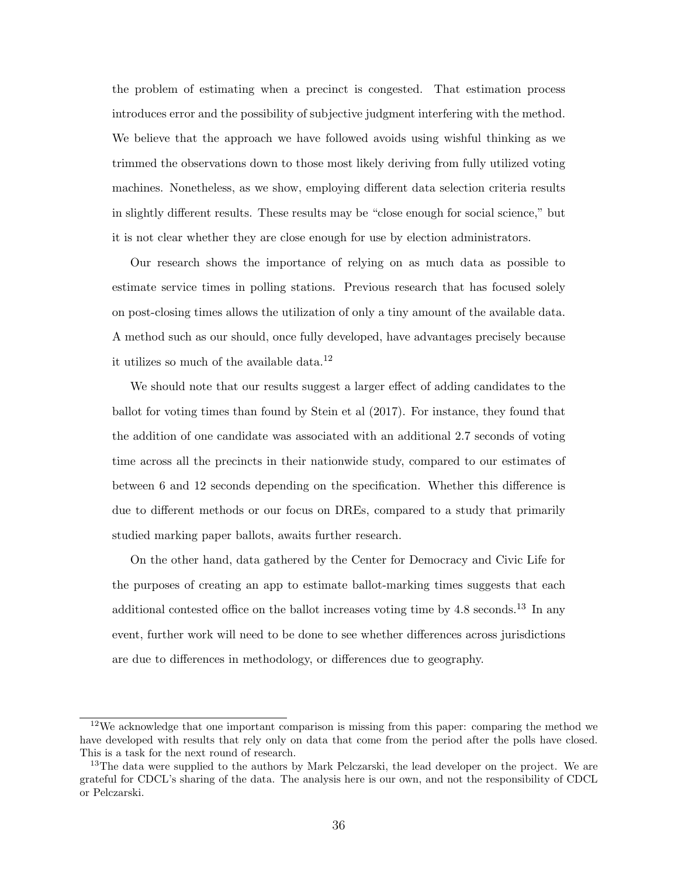the problem of estimating when a precinct is congested. That estimation process introduces error and the possibility of subjective judgment interfering with the method. We believe that the approach we have followed avoids using wishful thinking as we trimmed the observations down to those most likely deriving from fully utilized voting machines. Nonetheless, as we show, employing different data selection criteria results in slightly different results. These results may be "close enough for social science," but it is not clear whether they are close enough for use by election administrators.

Our research shows the importance of relying on as much data as possible to estimate service times in polling stations. Previous research that has focused solely on post-closing times allows the utilization of only a tiny amount of the available data. A method such as our should, once fully developed, have advantages precisely because it utilizes so much of the available data.<sup>12</sup>

We should note that our results suggest a larger effect of adding candidates to the ballot for voting times than found by Stein et al (2017). For instance, they found that the addition of one candidate was associated with an additional 2.7 seconds of voting time across all the precincts in their nationwide study, compared to our estimates of between 6 and 12 seconds depending on the specification. Whether this difference is due to different methods or our focus on DREs, compared to a study that primarily studied marking paper ballots, awaits further research.

On the other hand, data gathered by the Center for Democracy and Civic Life for the purposes of creating an app to estimate ballot-marking times suggests that each additional contested office on the ballot increases voting time by  $4.8$  seconds.<sup>13</sup> In any event, further work will need to be done to see whether differences across jurisdictions are due to differences in methodology, or differences due to geography.

<sup>&</sup>lt;sup>12</sup>We acknowledge that one important comparison is missing from this paper: comparing the method we have developed with results that rely only on data that come from the period after the polls have closed. This is a task for the next round of research.

<sup>&</sup>lt;sup>13</sup>The data were supplied to the authors by Mark Pelczarski, the lead developer on the project. We are grateful for CDCL's sharing of the data. The analysis here is our own, and not the responsibility of CDCL or Pelczarski.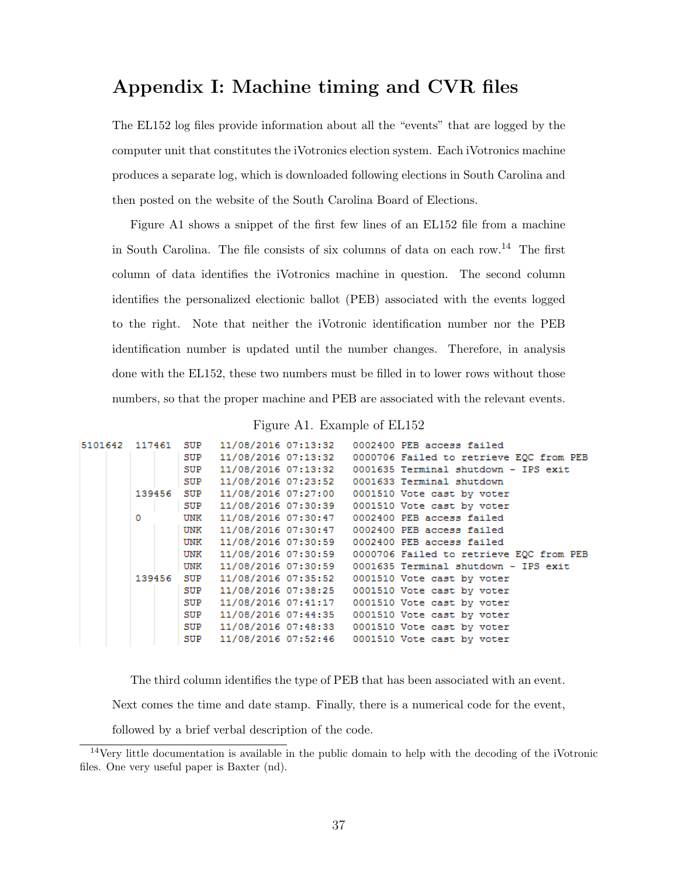# Appendix I: Machine timing and CVR files

The EL152 log files provide information about all the "events" that are logged by the computer unit that constitutes the iVotronics election system. Each iVotronics machine produces a separate log, which is downloaded following elections in South Carolina and then posted on the website of the South Carolina Board of Elections.

Figure A1 shows a snippet of the first few lines of an EL152 file from a machine in South Carolina. The file consists of six columns of data on each row.<sup>14</sup> The first column of data identifies the iVotronics machine in question. The second column identifies the personalized electionic ballot (PEB) associated with the events logged to the right. Note that neither the iVotronic identification number nor the PEB identification number is updated until the number changes. Therefore, in analysis done with the EL152, these two numbers must be filled in to lower rows without those numbers, so that the proper machine and PEB are associated with the relevant events.

Figure A1. Example of EL152

| 5101642 117461 SUP |            |     | 11/08/2016 07:13:32     |  | 0002400 PEB access failed               |
|--------------------|------------|-----|-------------------------|--|-----------------------------------------|
|                    |            | SUP | 11/08/2016 07:13:32     |  | 0000706 Failed to retrieve EQC from PEB |
|                    |            | SUP | 11/08/2016 07:13:32     |  | 0001635 Terminal shutdown - IPS exit    |
|                    |            | SUP | 11/08/2016 07:23:52     |  | 0001633 Terminal shutdown               |
|                    | 139456 SUP |     | 11/08/2016 07:27:00     |  | 0001510 Vote cast by voter              |
|                    |            | SUP | 11/08/2016 07:30:39     |  | 0001510 Vote cast by voter              |
|                    | 0          | UNK | 11/08/2016 07:30:47     |  | 0002400 PEB access failed               |
|                    |            |     | UNK 11/08/2016 07:30:47 |  | 0002400 PEB access failed               |
|                    |            | UNK |                         |  |                                         |
|                    |            |     | UNK 11/08/2016 07:30:59 |  | 0000706 Failed to retrieve EQC from PEB |
|                    |            | UNK | 11/08/2016 07:30:59     |  | 0001635 Terminal shutdown - IPS exit    |
|                    | 139456 SUP |     | 11/08/2016 07:35:52     |  | 0001510 Vote cast by voter              |
|                    |            | SUP | 11/08/2016 07:38:25     |  | 0001510 Vote cast by voter              |
|                    |            | SUP | 11/08/2016 07:41:17     |  | 0001510 Vote cast by voter              |
|                    |            | SUP | 11/08/2016 07:44:35     |  | 0001510 Vote cast by voter              |
|                    |            | SUP | 11/08/2016 07:48:33     |  | 0001510 Vote cast by voter              |
|                    |            | SUP | 11/08/2016 07:52:46     |  | 0001510 Vote cast by voter              |

The third column identifies the type of PEB that has been associated with an event.

Next comes the time and date stamp. Finally, there is a numerical code for the event,

followed by a brief verbal description of the code.

 $14$ Very little documentation is available in the public domain to help with the decoding of the iVotronic files. One very useful paper is Baxter (nd).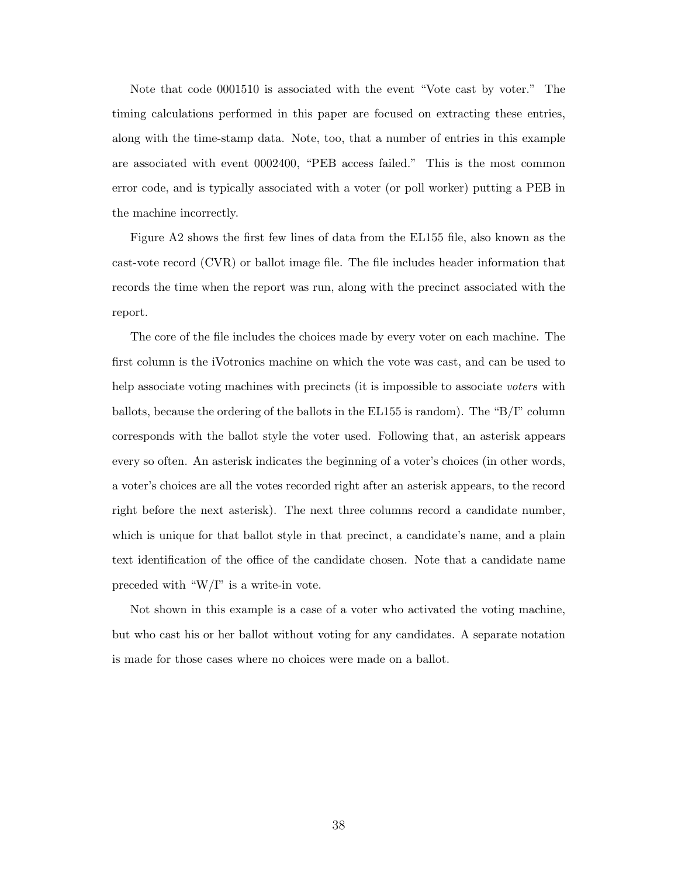Note that code 0001510 is associated with the event "Vote cast by voter." The timing calculations performed in this paper are focused on extracting these entries, along with the time-stamp data. Note, too, that a number of entries in this example are associated with event 0002400, "PEB access failed." This is the most common error code, and is typically associated with a voter (or poll worker) putting a PEB in the machine incorrectly.

Figure A2 shows the first few lines of data from the EL155 file, also known as the cast-vote record (CVR) or ballot image file. The file includes header information that records the time when the report was run, along with the precinct associated with the report.

The core of the file includes the choices made by every voter on each machine. The first column is the iVotronics machine on which the vote was cast, and can be used to help associate voting machines with precincts (it is impossible to associate *voters* with ballots, because the ordering of the ballots in the EL155 is random). The "B/I" column corresponds with the ballot style the voter used. Following that, an asterisk appears every so often. An asterisk indicates the beginning of a voter's choices (in other words, a voter's choices are all the votes recorded right after an asterisk appears, to the record right before the next asterisk). The next three columns record a candidate number, which is unique for that ballot style in that precinct, a candidate's name, and a plain text identification of the office of the candidate chosen. Note that a candidate name preceded with " $W/I$ " is a write-in vote.

Not shown in this example is a case of a voter who activated the voting machine, but who cast his or her ballot without voting for any candidates. A separate notation is made for those cases where no choices were made on a ballot.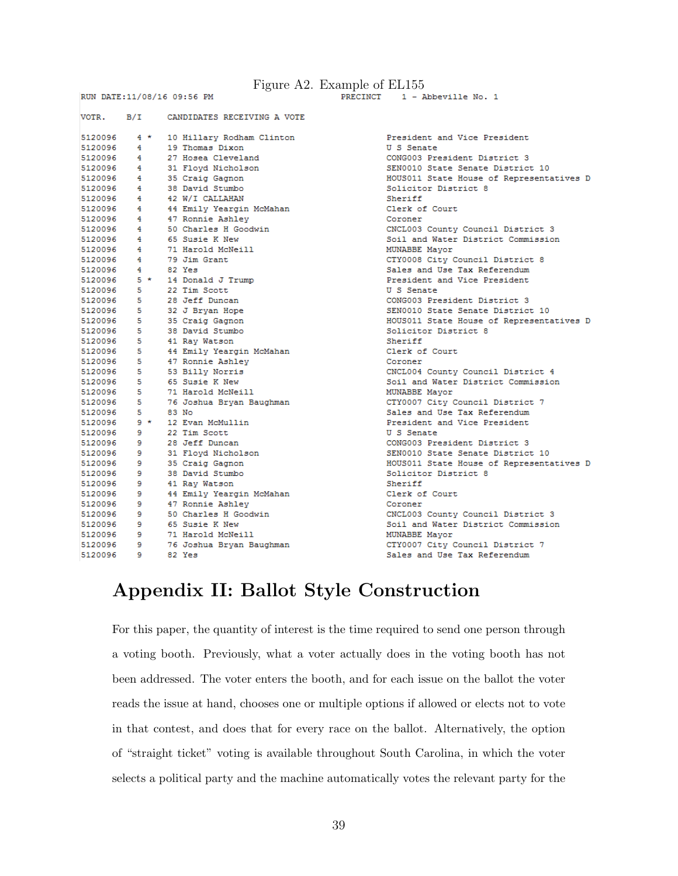Figure A2. Example of EL155<br> **EXAMPLE OF EXAMPLE 1 - Abbeville No. 1** 

RUN DATE:11/08/16 09:56 PM

| VOTR. B/I     |             | CANDIDATES RECEIVING A VOTE   |                                          |
|---------------|-------------|-------------------------------|------------------------------------------|
| $5120096$ 4 * |             | 10 Hillary Rodham Clinton     | President and Vice President             |
| 5120096 4     |             | 19 Thomas Dixon               | U S Senate                               |
| 5120096 4     |             | 27 Hosea Cleveland            | CONG003 President District 3             |
| 5120096 4     |             | 31 Floyd Nicholson            | SEN0010 State Senate District 10         |
| 5120096       | $4^{\circ}$ | 35 Craig Gagnon               | HOUS011 State House of Representatives D |
| 5120096       | $4^{\circ}$ | 38 David Stumbo               | Solicitor District 8                     |
| 5120096 4     |             | 42 W/I CALLAHAN               | Sheriff                                  |
| 5120096 4     |             | 44 Emily Yeargin McMahan      | Clerk of Court                           |
| 5120096 4     |             | 47 Ronnie Ashley              | Coroner                                  |
| 5120096       | $4^{\circ}$ | 50 Charles H Goodwin          | CNCL003 County Council District 3        |
| 5120096 4     |             | 65 Susie K New                | Soil and Water District Commission       |
| 5120096 4     |             | 71 Harold McNeill             | MUNABBE Mayor                            |
| 5120096 4     |             | 79 Jim Grant                  | CTY0008 City Council District 8          |
| 5120096 4     |             | 82 Yes                        | Sales and Use Tax Referendum             |
|               |             | 5120096 5 * 14 Donald J Trump | President and Vice President             |
| 5120096       | 5.          | 22 Tim Scott                  | U S Senate                               |
| 5120096 5     |             | 28 Jeff Duncan                | CONG003 President District 3             |
| 5120096       | 5.          | 32 J Bryan Hope               | SEN0010 State Senate District 10         |
| 5120096       | 5.          | 35 Craig Gagnon               | HOUS011 State House of Representatives D |
| 5120096       | 5.          | 38 David Stumbo               | Solicitor District 8                     |
| 5120096       | 5.          | 41 Ray Watson                 | Sheriff                                  |
| 5120096       | 5.          | 44 Emily Yeargin McMahan      | Clerk of Court                           |
| 5120096       | 5.          | 47 Ronnie Ashley              | Coroner                                  |
| 5120096       | 5.          | 53 Billy Norris               | CNCL004 County Council District 4        |
| 5120096       | 5.          | 65 Susie K New                | Soil and Water District Commission       |
| 5120096       |             | 5 71 Harold McNeill           | MUNABBE Mayor                            |
| 5120096       | 5.          | 76 Joshua Bryan Baughman      | CTY0007 City Council District 7          |
| 5120096 5     |             | 83 No                         | Sales and Use Tax Referendum             |
|               |             | 5120096 9 * 12 Evan McMullin  | President and Vice President             |
| 5120096 9     |             | 22 Tim Scott                  | U S Senate                               |
| 5120096       | 9           | 28 Jeff Duncan                | CONG003 President District 3             |
| 5120096       | 9.          | 31 Floyd Nicholson            | SEN0010 State Senate District 10         |
| 5120096       | 9.          | 35 Craig Gagnon               | HOUS011 State House of Representatives D |
| 5120096       | 9           | 38 David Stumbo               | Solicitor District 8                     |
| 5120096       | 9.          | 41 Ray Watson                 | Sheriff                                  |
| 5120096       | 9.          | 44 Emily Yeargin McMahan      | Clerk of Court                           |
| 5120096       | 9.          | 47 Ronnie Ashley              | Coroner                                  |
| 5120096 9     |             | 50 Charles H Goodwin          | CNCL003 County Council District 3        |
| 5120096 9     |             | 65 Susie K New                | Soil and Water District Commission       |
| 5120096 9     |             | 71 Harold McNeill             | MUNABBE Mayor                            |
| 5120096       |             | 9 76 Joshua Bryan Baughman    | CTY0007 City Council District 7          |
| 5120096       | ۹           | 82 Yes                        | Sales and Use Tax Referendum             |

# Appendix II: Ballot Style Construction

For this paper, the quantity of interest is the time required to send one person through a voting booth. Previously, what a voter actually does in the voting booth has not been addressed. The voter enters the booth, and for each issue on the ballot the voter reads the issue at hand, chooses one or multiple options if allowed or elects not to vote in that contest, and does that for every race on the ballot. Alternatively, the option of "straight ticket" voting is available throughout South Carolina, in which the voter selects a political party and the machine automatically votes the relevant party for the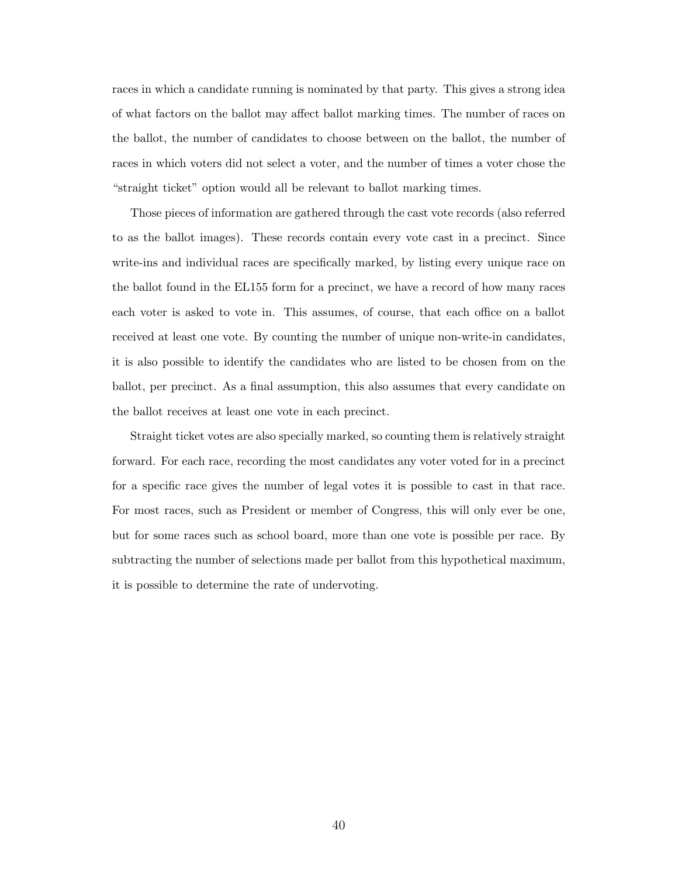races in which a candidate running is nominated by that party. This gives a strong idea of what factors on the ballot may affect ballot marking times. The number of races on the ballot, the number of candidates to choose between on the ballot, the number of races in which voters did not select a voter, and the number of times a voter chose the "straight ticket" option would all be relevant to ballot marking times.

Those pieces of information are gathered through the cast vote records (also referred to as the ballot images). These records contain every vote cast in a precinct. Since write-ins and individual races are specifically marked, by listing every unique race on the ballot found in the EL155 form for a precinct, we have a record of how many races each voter is asked to vote in. This assumes, of course, that each office on a ballot received at least one vote. By counting the number of unique non-write-in candidates, it is also possible to identify the candidates who are listed to be chosen from on the ballot, per precinct. As a final assumption, this also assumes that every candidate on the ballot receives at least one vote in each precinct.

Straight ticket votes are also specially marked, so counting them is relatively straight forward. For each race, recording the most candidates any voter voted for in a precinct for a specific race gives the number of legal votes it is possible to cast in that race. For most races, such as President or member of Congress, this will only ever be one, but for some races such as school board, more than one vote is possible per race. By subtracting the number of selections made per ballot from this hypothetical maximum, it is possible to determine the rate of undervoting.

40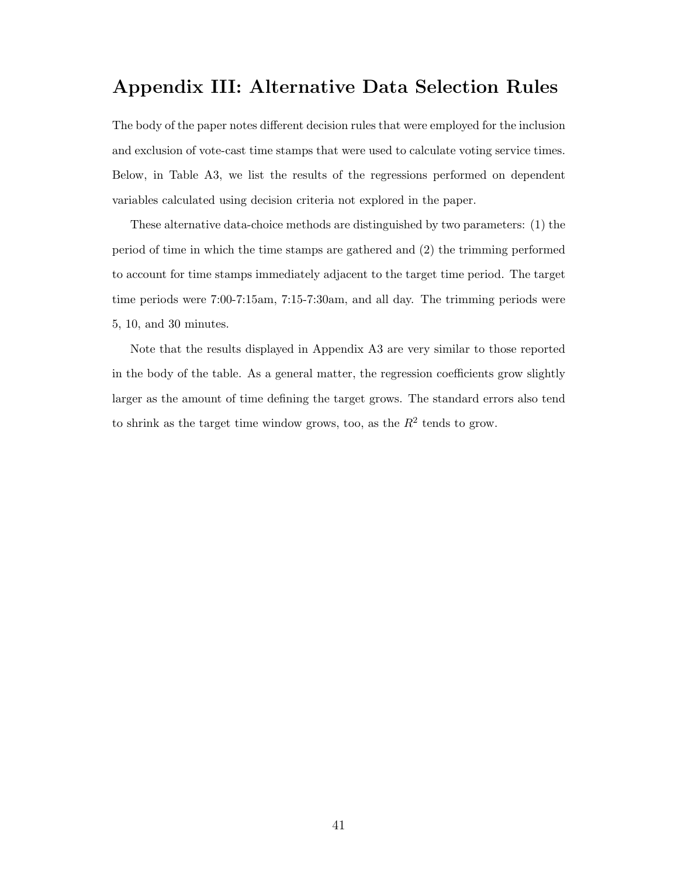## Appendix III: Alternative Data Selection Rules

The body of the paper notes different decision rules that were employed for the inclusion and exclusion of vote-cast time stamps that were used to calculate voting service times. Below, in Table A3, we list the results of the regressions performed on dependent variables calculated using decision criteria not explored in the paper.

These alternative data-choice methods are distinguished by two parameters: (1) the period of time in which the time stamps are gathered and (2) the trimming performed to account for time stamps immediately adjacent to the target time period. The target time periods were 7:00-7:15am, 7:15-7:30am, and all day. The trimming periods were 5, 10, and 30 minutes.

Note that the results displayed in Appendix A3 are very similar to those reported in the body of the table. As a general matter, the regression coefficients grow slightly larger as the amount of time defining the target grows. The standard errors also tend to shrink as the target time window grows, too, as the  $R^2$  tends to grow.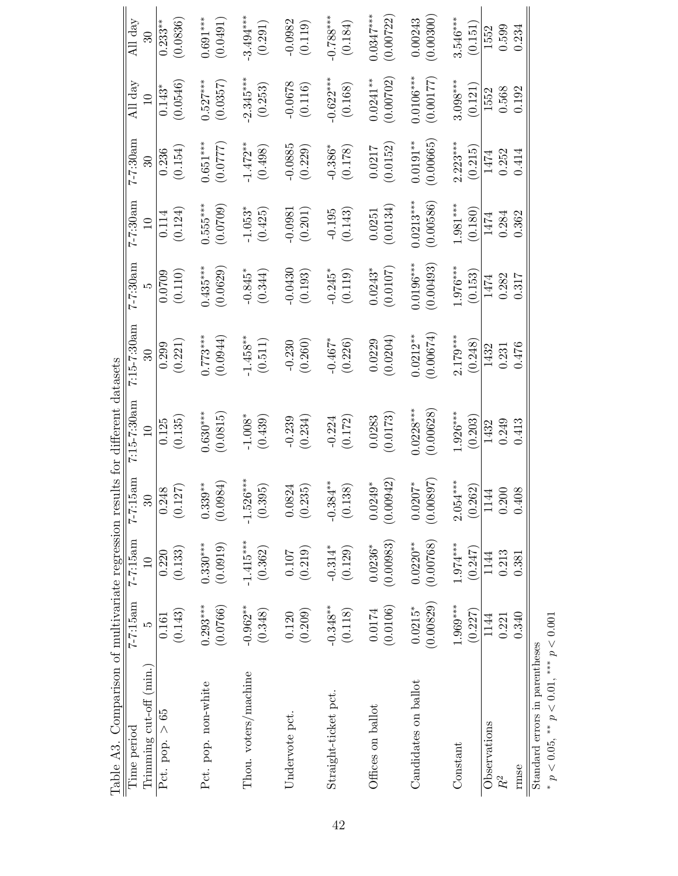| Table A3. Comparison of multivariate regression results for different datasets |                        |                          |                                                  |                                  |                          |                          |                          |                         |                          |                          |
|--------------------------------------------------------------------------------|------------------------|--------------------------|--------------------------------------------------|----------------------------------|--------------------------|--------------------------|--------------------------|-------------------------|--------------------------|--------------------------|
| Trimming cut-off (min.)<br>Time period                                         | $7-7:15am$<br>ນລ       | $7-7:15am$<br>$\Box$     | $7-7:15am$<br>30                                 | $7:15-7:30am$<br>$\overline{10}$ | $7:15-7:30am$<br>೫       | $7 - 7:30$ am<br>LQ      | $7 - 7:30$ am<br>$\Xi$   | $7 - 7:30$ am<br>೫      | All day<br>$\Xi$         | All day<br>೫             |
| Pct. pop. $> 65$                                                               | (0.143)<br>0.161       | (0.133)<br>0.220         | $ 27\rangle$<br>0.248<br>$\overline{0}$          | (0.135)<br>0.125                 | (0.221)<br>0.299         | 0.0709<br>(0.110)        | (0.124)<br>0.114         | (0.154)<br>0.236        | (0.0546)<br>$0.143*$     | (0.0836)<br>$0.233***$   |
| Pct. pop. non-white                                                            | $0.293***$<br>(0.0766) | $0.330***$<br>(0.0919)   | $0.339***$<br>(6.0984)                           | $0.630***$<br>(0.0815)           | $0.773***$<br>(0.0944)   | $0.435***$<br>(0.0629)   | $0.555***$<br>(0.0709)   | $0.651***$<br>(7770, 0) | $0.527***$<br>(0.0357)   | $0.691***$<br>(0.0491)   |
| Thou. voters/machine                                                           | $-0.962**$<br>(0.348)  | $-1.415***$<br>(0.362)   | $-1.526***$<br>(0.395)                           | $-1.008*$<br>(0.439)             | $-1.458***$<br>(0.511)   | $-0.845*$<br>(0.344)     | $-1.053*$<br>(0.425)     | $-1.472**$<br>(0.498)   | $2.345***$<br>(0.253)    | $3.494***$<br>(0.291)    |
| Undervote pct.                                                                 | (0.209)<br>0.120       | (0.219)<br>0.107         | 824<br>235)<br>$\overline{0}$ .<br>$\ddot{0}$ :2 | $-0.239$<br>(0.234)              | $-0.230$<br>(0.260)      | $-0.0430$<br>(0.193)     | $-0.0981$<br>(0.201)     | $-0.0885$<br>(0.229)    | $-0.0678$<br>(0.116)     | $-0.0982$<br>(0.119)     |
| Straight-ticket pct.                                                           | $-0.348**$<br>(0.118)  | $-0.314*$<br>(0.129)     | 84**<br>$\left($ 38<br>$-0.3$<br>$\overline{0}$  | (0.172)<br>$-0.224$              | $-0.467*$<br>(0.226)     | $-0.245*$<br>(0.119)     | $-0.195$<br>(0.143)      | $-0.386*$<br>(0.178)    | $0.622***$<br>(0.168)    | $0.788***$<br>(0.184)    |
| Offices on ballot                                                              | (0.0106)<br>0.0174     | (0.00983)<br>$0.0236*$   | )942)<br>$0.0249*$<br>0.00                       | (0.0173)<br>0.0283               | (0.0204)<br>0.0229       | (0.0107)<br>$0.0243*$    | (0.0134)<br>0.0251       | (0.0152)<br>0.0217      | $0.0241***$<br>(0.00702) | $0.0347***$<br>(0.00722) |
| Candidates on ballot                                                           | (0.00829)<br>$0.0215*$ | (0.00768)<br>$0.0220***$ | (168)<br>$0.0207*$<br>$\sum_{i=1}^{\infty}$      | $0.0228***$<br>(0.00628)         | (0.00674)<br>$0.0212***$ | $0.0196***$<br>(0.00493) | $0.0213***$<br>(0.00586) | $0.0191***$<br>0.00665  | $0.0106***$<br>(0.00177) | (0.00300)<br>0.00243     |
| Constant                                                                       | $1.969***$<br>(0.227)  | $1.974***$<br>(0.247)    | $2.054***$<br>(0.262)                            | $1.926***$<br>(0.203)            | $2.179***$<br>(0.248)    | $1.976***$<br>(0.153)    | $1.981***$<br>(0.180)    | $2.223***$<br>(0.215)   | $3.098***$<br>(0.121)    | 3.546***<br>(0.151)      |
| Observations<br>$\ensuremath{R^2}$                                             | 1144<br>0.221          | 0.213<br>1144            | 0.200<br>144<br>$\Box$                           | 0.249<br>1432                    | 1432<br>0.231            | 0.282<br>1474            | 0.284<br>1474            | 0.252<br>1474           | 0.568<br>1552            | 0.599<br>1552            |
| rmse                                                                           | 0.340                  | 0.381                    | 0.408                                            | 0.413                            | 0.476                    | 0.317                    | 0.362                    | 0.414                   | 0.192                    | 0.234                    |
| Standard errors in narentheses                                                 |                        |                          |                                                  |                                  |                          |                          |                          |                         |                          |                          |

Standard errors in parentheses

Standard errors in parentheses<br>\*  $p < 0.05$ , \*\*  $p < 0.01$ , \*\*\*  $p < 0.001$ \*  $p < 0.05$ , \*\*  $p < 0.01$ , \*\*\*  $p < 0.001$